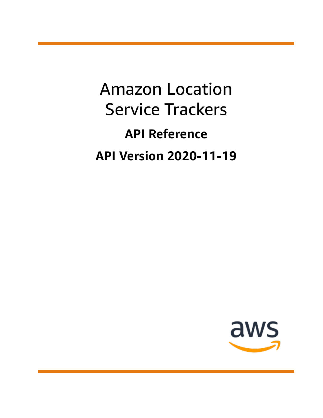Amazon Location Service Trackers **API Reference API Version 2020-11-19**

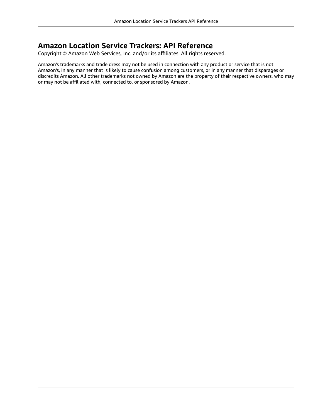### **Amazon Location Service Trackers: API Reference**

Copyright © Amazon Web Services, Inc. and/or its affiliates. All rights reserved.

Amazon's trademarks and trade dress may not be used in connection with any product or service that is not Amazon's, in any manner that is likely to cause confusion among customers, or in any manner that disparages or discredits Amazon. All other trademarks not owned by Amazon are the property of their respective owners, who may or may not be affiliated with, connected to, or sponsored by Amazon.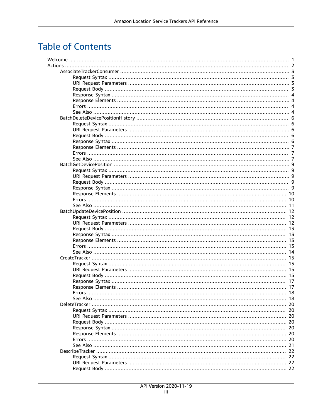# **Table of Contents**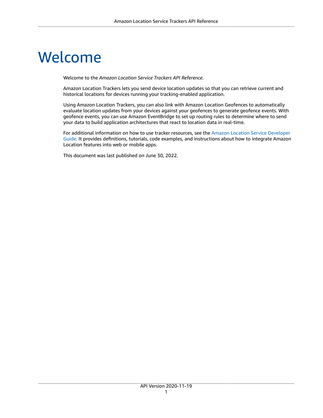# <span id="page-5-0"></span>Welcome

Welcome to the *Amazon Location Service Trackers API Reference*.

Amazon Location Trackers lets you send device location updates so that you can retrieve current and historical locations for devices running your tracking-enabled application.

Using Amazon Location Trackers, you can also link with Amazon Location Geofences to automatically evaluate location updates from your devices against your geofences to generate geofence events. With geofence events, you can use Amazon EventBridge to set up routing rules to determine where to send your data to build application architectures that react to location data in real-time.

For additional information on how to use tracker resources, see the Amazon Location Service [Developer](https://docs.aws.amazon.com/location/latest/developerguide/what-is.html) [Guide](https://docs.aws.amazon.com/location/latest/developerguide/what-is.html). It provides definitions, tutorials, code examples, and instructions about how to integrate Amazon Location features into web or mobile apps.

This document was last published on June 30, 2022.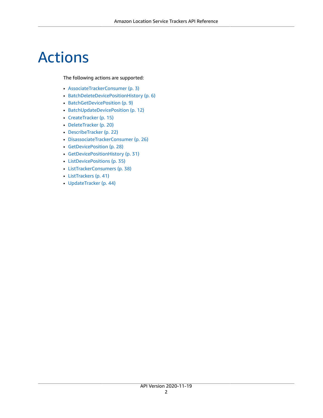# <span id="page-6-0"></span>Actions

#### The following actions are supported:

- [AssociateTrackerConsumer \(p. 3\)](#page-7-0)
- [BatchDeleteDevicePositionHistory \(p. 6\)](#page-10-0)
- [BatchGetDevicePosition \(p. 9\)](#page-13-0)
- [BatchUpdateDevicePosition \(p. 12\)](#page-16-0)
- [CreateTracker \(p. 15\)](#page-19-0)
- [DeleteTracker \(p. 20\)](#page-24-0)
- [DescribeTracker \(p. 22\)](#page-26-0)
- [DisassociateTrackerConsumer \(p. 26\)](#page-30-0)
- [GetDevicePosition \(p. 28\)](#page-32-0)
- [GetDevicePositionHistory \(p. 31\)](#page-35-0)
- [ListDevicePositions \(p. 35\)](#page-39-0)
- [ListTrackerConsumers \(p. 38\)](#page-42-0)
- [ListTrackers \(p. 41\)](#page-45-0)
- [UpdateTracker \(p. 44\)](#page-48-0)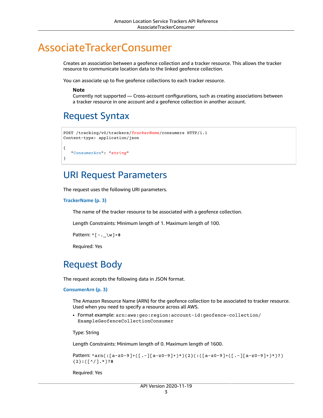# <span id="page-7-0"></span>AssociateTrackerConsumer

Creates an association between a geofence collection and a tracker resource. This allows the tracker resource to communicate location data to the linked geofence collection.

You can associate up to five geofence collections to each tracker resource.

#### **Note**

Currently not supported — Cross-account configurations, such as creating associations between a tracker resource in one account and a geofence collection in another account.

### <span id="page-7-1"></span>Request Syntax

```
POST /tracking/v0/trackers/TrackerName/consumers HTTP/1.1
Content-type: application/json
{
    "ConsumerArn": "string"
}
```
### <span id="page-7-2"></span>URI Request Parameters

The request uses the following URI parameters.

#### **[TrackerName \(p. 3\)](#page-7-1)**

The name of the tracker resource to be associated with a geofence collection.

Length Constraints: Minimum length of 1. Maximum length of 100.

Pattern:  $^(-,-\wedge w]+$ \$

Required: Yes

### <span id="page-7-3"></span>Request Body

The request accepts the following data in JSON format.

#### <span id="page-7-4"></span>**[ConsumerArn \(p. 3\)](#page-7-1)**

The Amazon Resource Name (ARN) for the geofence collection to be associated to tracker resource. Used when you need to specify a resource across all AWS.

• Format example: arn:aws:geo:region:account-id:geofence-collection/ ExampleGeofenceCollectionConsumer

Type: String

Length Constraints: Minimum length of 0. Maximum length of 1600.

```
Pattern: ^arn(:[a-z0-9]+([.-][a-z0-9]+)*){2}(:([a-z0-9]+([.-][a-z0-9]+)*)?)
{2}:([^/].*)?$
```
Required: Yes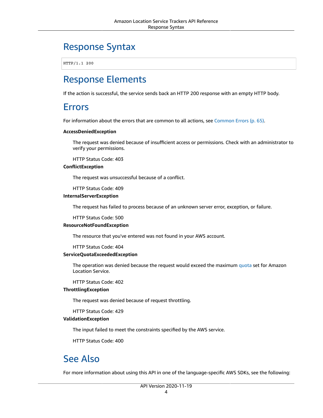### <span id="page-8-0"></span>Response Syntax

HTTP/1.1 200

### <span id="page-8-1"></span>Response Elements

<span id="page-8-2"></span>If the action is successful, the service sends back an HTTP 200 response with an empty HTTP body.

### Errors

For information about the errors that are common to all actions, see [Common](#page-69-0) Error[s \(p. 65\).](#page-69-0)

#### **AccessDeniedException**

The request was denied because of insufficient access or permissions. Check with an administrator to verify your permissions.

HTTP Status Code: 403

#### **ConflictException**

The request was unsuccessful because of a conflict.

HTTP Status Code: 409

#### **InternalServerException**

The request has failed to process because of an unknown server error, exception, or failure.

HTTP Status Code: 500

#### **ResourceNotFoundException**

The resource that you've entered was not found in your AWS account.

HTTP Status Code: 404

#### **ServiceQuotaExceededException**

The operation was denied because the request would exceed the maximum [quota](https://docs.aws.amazon.com/location/latest/developerguide/location-quotas.html) set for Amazon Location Service.

HTTP Status Code: 402

#### **ThrottlingException**

The request was denied because of request throttling.

HTTP Status Code: 429

#### **ValidationException**

The input failed to meet the constraints specified by the AWS service.

HTTP Status Code: 400

### <span id="page-8-3"></span>See Also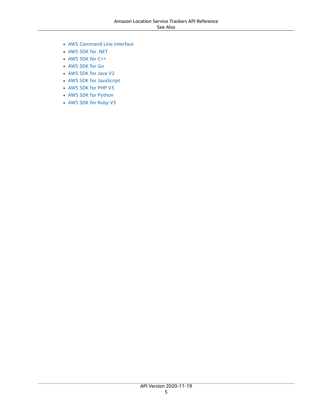- AWS [Command](https://docs.aws.amazon.com/goto/aws-cli/waypointtracking-2020-11-19/AssociateTrackerConsumer) Line Interface
- [AWS](https://docs.aws.amazon.com/goto/DotNetSDKV3/waypointtracking-2020-11-19/AssociateTrackerConsumer) SDK for .NET
- [AWS](https://docs.aws.amazon.com/goto/SdkForCpp/waypointtracking-2020-11-19/AssociateTrackerConsumer) SDK for C++
- [AWS](https://docs.aws.amazon.com/goto/SdkForGoV1/waypointtracking-2020-11-19/AssociateTrackerConsumer) SDK for Go
- [AWS](https://docs.aws.amazon.com/goto/SdkForJavaV2/waypointtracking-2020-11-19/AssociateTrackerConsumer) SDK for Java V2
- AWS SDK for [JavaScript](https://docs.aws.amazon.com/goto/AWSJavaScriptSDK/waypointtracking-2020-11-19/AssociateTrackerConsumer)
- [AWS](https://docs.aws.amazon.com/goto/SdkForPHPV3/waypointtracking-2020-11-19/AssociateTrackerConsumer) SDK for PHP V3
- AWS SDK for [Python](https://docs.aws.amazon.com/goto/boto3/waypointtracking-2020-11-19/AssociateTrackerConsumer)
- AWS SDK for [Ruby](https://docs.aws.amazon.com/goto/SdkForRubyV3/waypointtracking-2020-11-19/AssociateTrackerConsumer) V3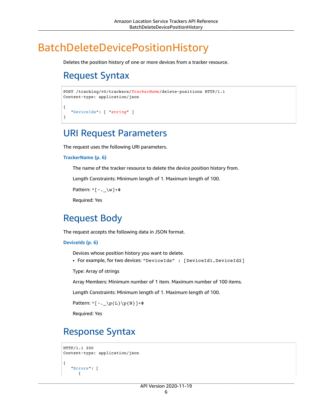# <span id="page-10-1"></span><span id="page-10-0"></span>BatchDeleteDevicePositionHistory

Deletes the position history of one or more devices from a tracker resource.

# Request Syntax

```
POST /tracking/v0/trackers/TrackerName/delete-positions HTTP/1.1
Content-type: application/json
{
    "DeviceIds": [ "string" ]
}
```
### <span id="page-10-2"></span>URI Request Parameters

The request uses the following URI parameters.

#### **[TrackerName \(p. 6\)](#page-10-1)**

The name of the tracker resource to delete the device position history from.

Length Constraints: Minimum length of 1. Maximum length of 100.

```
Pattern: ^([-,-\wedge w]+\$
```
Required: Yes

### <span id="page-10-3"></span>Request Body

The request accepts the following data in JSON format.

#### <span id="page-10-5"></span>**[DeviceIds \(p. 6\)](#page-10-1)**

Devices whose position history you want to delete.

• For example, for two devices: "DeviceIds" : [DeviceId1, DeviceId2]

Type: Array of strings

Array Members: Minimum number of 1 item. Maximum number of 100 items.

Length Constraints: Minimum length of 1. Maximum length of 100.

Pattern:  $^([-,-\p1\{L\} \p1\{N\}]+$ 

Required: Yes

## <span id="page-10-4"></span>Response Syntax

```
HTTP/1.1 200
Content-type: application/json
{
    "Errors": [ 
       {
```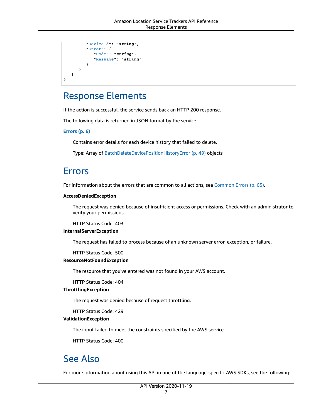```
 "DeviceId": "string",
          "Error": { 
             "Code": "string",
             "Message": "string"
 }
       }
    ]
}
```
### <span id="page-11-0"></span>Response Elements

If the action is successful, the service sends back an HTTP 200 response.

The following data is returned in JSON format by the service.

<span id="page-11-3"></span>**[Errors \(p. 6\)](#page-10-4)**

Contains error details for each device history that failed to delete.

Type: Array of [BatchDeleteDevicePositionHistoryError \(p. 49\)](#page-53-0) objects

### <span id="page-11-1"></span>Errors

For information about the errors that are common to all actions, see [Common](#page-69-0) Error[s \(p. 65\).](#page-69-0)

#### **AccessDeniedException**

The request was denied because of insufficient access or permissions. Check with an administrator to verify your permissions.

HTTP Status Code: 403

#### **InternalServerException**

The request has failed to process because of an unknown server error, exception, or failure.

HTTP Status Code: 500

#### **ResourceNotFoundException**

The resource that you've entered was not found in your AWS account.

HTTP Status Code: 404

#### **ThrottlingException**

The request was denied because of request throttling.

HTTP Status Code: 429

#### **ValidationException**

The input failed to meet the constraints specified by the AWS service.

HTTP Status Code: 400

### <span id="page-11-2"></span>See Also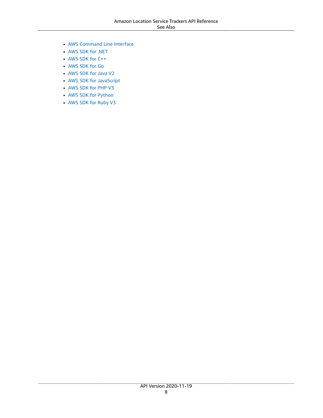- AWS [Command](https://docs.aws.amazon.com/goto/aws-cli/waypointtracking-2020-11-19/BatchDeleteDevicePositionHistory) Line Interface
- [AWS](https://docs.aws.amazon.com/goto/DotNetSDKV3/waypointtracking-2020-11-19/BatchDeleteDevicePositionHistory) SDK for .NET
- [AWS](https://docs.aws.amazon.com/goto/SdkForCpp/waypointtracking-2020-11-19/BatchDeleteDevicePositionHistory) SDK for C++
- [AWS](https://docs.aws.amazon.com/goto/SdkForGoV1/waypointtracking-2020-11-19/BatchDeleteDevicePositionHistory) SDK for Go
- [AWS](https://docs.aws.amazon.com/goto/SdkForJavaV2/waypointtracking-2020-11-19/BatchDeleteDevicePositionHistory) SDK for Java V2
- AWS SDK for [JavaScript](https://docs.aws.amazon.com/goto/AWSJavaScriptSDK/waypointtracking-2020-11-19/BatchDeleteDevicePositionHistory)
- [AWS](https://docs.aws.amazon.com/goto/SdkForPHPV3/waypointtracking-2020-11-19/BatchDeleteDevicePositionHistory) SDK for PHP V3
- AWS SDK for [Python](https://docs.aws.amazon.com/goto/boto3/waypointtracking-2020-11-19/BatchDeleteDevicePositionHistory)
- AWS SDK for [Ruby](https://docs.aws.amazon.com/goto/SdkForRubyV3/waypointtracking-2020-11-19/BatchDeleteDevicePositionHistory) V3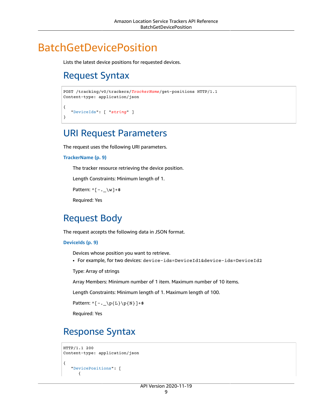# <span id="page-13-1"></span><span id="page-13-0"></span>BatchGetDevicePosition

Lists the latest device positions for requested devices.

# Request Syntax

```
POST /tracking/v0/trackers/TrackerName/get-positions HTTP/1.1
Content-type: application/json
{
    "DeviceIds": [ "string" ]
}
```
### <span id="page-13-2"></span>URI Request Parameters

The request uses the following URI parameters.

#### **[TrackerName \(p. 9\)](#page-13-1)**

The tracker resource retrieving the device position.

Length Constraints: Minimum length of 1.

Pattern:  $^([-,-\wedge w]+\$$ 

Required: Yes

### <span id="page-13-3"></span>Request Body

The request accepts the following data in JSON format.

#### <span id="page-13-5"></span>**[DeviceIds \(p. 9\)](#page-13-1)**

Devices whose position you want to retrieve.

• For example, for two devices: device-ids=DeviceId1&device-ids=DeviceId2

Type: Array of strings

Array Members: Minimum number of 1 item. Maximum number of 10 items.

Length Constraints: Minimum length of 1. Maximum length of 100.

Pattern:  $^(-,-\p4\text{L}\p6\$ 

Required: Yes

## <span id="page-13-4"></span>Response Syntax

```
HTTP/1.1 200
Content-type: application/json
{
    "DevicePositions": [ 
       {
```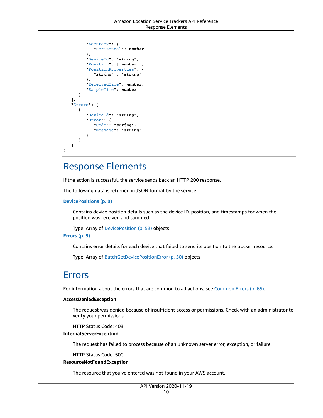```
 "Accuracy": { 
              "Horizontal": number
          },
          "DeviceId": "string",
          "Position": [ number ],
          "PositionProperties": { 
              "string" : "string" 
          },
          "ReceivedTime": number,
          "SampleTime": number
       }
    ],
    "Errors": [ 
       { 
          "DeviceId": "string",
          "Error": { 
              "Code": "string",
              "Message": "string"
 }
       }
    ]
```
### <span id="page-14-0"></span>Response Elements

If the action is successful, the service sends back an HTTP 200 response.

The following data is returned in JSON format by the service.

<span id="page-14-2"></span>**[DevicePositions \(p. 9\)](#page-13-4)**

Contains device position details such as the device ID, position, and timestamps for when the position was received and sampled.

Type: Array of [DevicePosition \(p. 53\)](#page-57-0) objects

#### <span id="page-14-3"></span>**[Errors \(p. 9\)](#page-13-4)**

}

Contains error details for each device that failed to send its position to the tracker resource.

Type: Array of [BatchGetDevicePositionError \(p. 50\)](#page-54-0) objects

### <span id="page-14-1"></span>Errors

For information about the errors that are common to all actions, see [Common](#page-69-0) Error[s \(p. 65\).](#page-69-0)

#### **AccessDeniedException**

The request was denied because of insufficient access or permissions. Check with an administrator to verify your permissions.

HTTP Status Code: 403

#### **InternalServerException**

The request has failed to process because of an unknown server error, exception, or failure.

HTTP Status Code: 500

#### **ResourceNotFoundException**

The resource that you've entered was not found in your AWS account.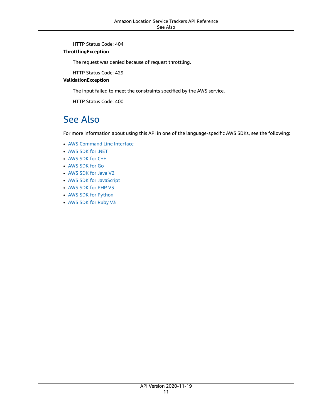HTTP Status Code: 404

#### **ThrottlingException**

The request was denied because of request throttling.

HTTP Status Code: 429

#### **ValidationException**

The input failed to meet the constraints specified by the AWS service.

HTTP Status Code: 400

### <span id="page-15-0"></span>See Also

- AWS [Command](https://docs.aws.amazon.com/goto/aws-cli/waypointtracking-2020-11-19/BatchGetDevicePosition) Line Interface
- [AWS](https://docs.aws.amazon.com/goto/DotNetSDKV3/waypointtracking-2020-11-19/BatchGetDevicePosition) SDK for .NET
- [AWS](https://docs.aws.amazon.com/goto/SdkForCpp/waypointtracking-2020-11-19/BatchGetDevicePosition) SDK for C++
- [AWS](https://docs.aws.amazon.com/goto/SdkForGoV1/waypointtracking-2020-11-19/BatchGetDevicePosition) SDK for Go
- [AWS](https://docs.aws.amazon.com/goto/SdkForJavaV2/waypointtracking-2020-11-19/BatchGetDevicePosition) SDK for Java V2
- AWS SDK for [JavaScript](https://docs.aws.amazon.com/goto/AWSJavaScriptSDK/waypointtracking-2020-11-19/BatchGetDevicePosition)
- [AWS](https://docs.aws.amazon.com/goto/SdkForPHPV3/waypointtracking-2020-11-19/BatchGetDevicePosition) SDK for PHP V3
- AWS SDK for [Python](https://docs.aws.amazon.com/goto/boto3/waypointtracking-2020-11-19/BatchGetDevicePosition)
- AWS SDK for [Ruby](https://docs.aws.amazon.com/goto/SdkForRubyV3/waypointtracking-2020-11-19/BatchGetDevicePosition) V3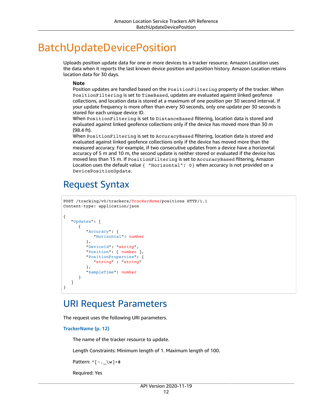# <span id="page-16-0"></span>BatchUpdateDevicePosition

Uploads position update data for one or more devices to a tracker resource. Amazon Location uses the data when it reports the last known device position and position history. Amazon Location retains location data for 30 days.

#### **Note**

Position updates are handled based on the PositionFiltering property of the tracker. When PositionFiltering is set to TimeBased, updates are evaluated against linked geofence collections, and location data is stored at a maximum of one position per 30 second interval. If your update frequency is more often than every 30 seconds, only one update per 30 seconds is stored for each unique device ID.

When PositionFiltering is set to DistanceBased filtering, location data is stored and evaluated against linked geofence collections only if the device has moved more than 30 m (98.4 ft).

When PositionFiltering is set to AccuracyBased filtering, location data is stored and evaluated against linked geofence collections only if the device has moved more than the measured accuracy. For example, if two consecutive updates from a device have a horizontal accuracy of 5 m and 10 m, the second update is neither stored or evaluated if the device has moved less than 15 m. If PositionFiltering is set to AccuracyBased filtering, Amazon Location uses the default value { "Horizontal": 0} when accuracy is not provided on a DevicePositionUpdate.

## <span id="page-16-1"></span>Request Syntax

```
POST /tracking/v0/trackers/TrackerName/positions HTTP/1.1
Content-type: application/json
{
    "Updates": [ 
       { 
           "Accuracy": { 
              "Horizontal": number
           },
           "DeviceId": "string",
           "Position": [ number ],
           "PositionProperties": { 
              "string" : "string" 
           },
           "SampleTime": number
       }
    ]
}
```
### <span id="page-16-2"></span>URI Request Parameters

The request uses the following URI parameters.

**[TrackerName \(p. 12\)](#page-16-1)**

The name of the tracker resource to update.

Length Constraints: Minimum length of 1. Maximum length of 100.

Pattern:  $^(-,-\wedge w]+$ \$

Required: Yes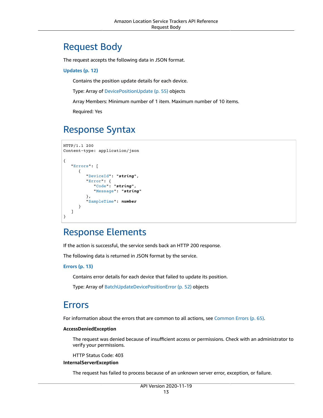### <span id="page-17-0"></span>Request Body

The request accepts the following data in JSON format.

#### <span id="page-17-4"></span>**[Updates \(p. 12\)](#page-16-1)**

Contains the position update details for each device.

Type: Array of [DevicePositionUpdate \(p. 55\)](#page-59-0) objects

Array Members: Minimum number of 1 item. Maximum number of 10 items.

Required: Yes

### <span id="page-17-1"></span>Response Syntax

```
HTTP/1.1 200
Content-type: application/json
{
    "Errors": [ 
       { 
           "DeviceId": "string",
           "Error": { 
              "Code": "string",
              "Message": "string"
           },
           "SampleTime": number
       }
    ]
}
```
### <span id="page-17-2"></span>Response Elements

If the action is successful, the service sends back an HTTP 200 response.

The following data is returned in JSON format by the service.

#### <span id="page-17-5"></span>**[Errors \(p. 13\)](#page-17-1)**

Contains error details for each device that failed to update its position.

Type: Array of [BatchUpdateDevicePositionError \(p. 52\)](#page-56-0) objects

### <span id="page-17-3"></span>Errors

For information about the errors that are common to all actions, see [Common](#page-69-0) Error[s \(p. 65\).](#page-69-0)

#### **AccessDeniedException**

The request was denied because of insufficient access or permissions. Check with an administrator to verify your permissions.

HTTP Status Code: 403

#### **InternalServerException**

The request has failed to process because of an unknown server error, exception, or failure.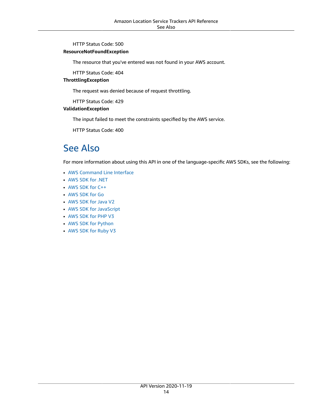HTTP Status Code: 500

#### **ResourceNotFoundException**

The resource that you've entered was not found in your AWS account.

HTTP Status Code: 404

#### **ThrottlingException**

The request was denied because of request throttling.

HTTP Status Code: 429

#### **ValidationException**

The input failed to meet the constraints specified by the AWS service.

HTTP Status Code: 400

### <span id="page-18-0"></span>See Also

- AWS [Command](https://docs.aws.amazon.com/goto/aws-cli/waypointtracking-2020-11-19/BatchUpdateDevicePosition) Line Interface
- [AWS](https://docs.aws.amazon.com/goto/DotNetSDKV3/waypointtracking-2020-11-19/BatchUpdateDevicePosition) SDK for .NET
- [AWS](https://docs.aws.amazon.com/goto/SdkForCpp/waypointtracking-2020-11-19/BatchUpdateDevicePosition) SDK for C++
- [AWS](https://docs.aws.amazon.com/goto/SdkForGoV1/waypointtracking-2020-11-19/BatchUpdateDevicePosition) SDK for Go
- [AWS](https://docs.aws.amazon.com/goto/SdkForJavaV2/waypointtracking-2020-11-19/BatchUpdateDevicePosition) SDK for Java V2
- AWS SDK for [JavaScript](https://docs.aws.amazon.com/goto/AWSJavaScriptSDK/waypointtracking-2020-11-19/BatchUpdateDevicePosition)
- [AWS](https://docs.aws.amazon.com/goto/SdkForPHPV3/waypointtracking-2020-11-19/BatchUpdateDevicePosition) SDK for PHP V3
- AWS SDK for [Python](https://docs.aws.amazon.com/goto/boto3/waypointtracking-2020-11-19/BatchUpdateDevicePosition)
- AWS SDK for [Ruby](https://docs.aws.amazon.com/goto/SdkForRubyV3/waypointtracking-2020-11-19/BatchUpdateDevicePosition) V3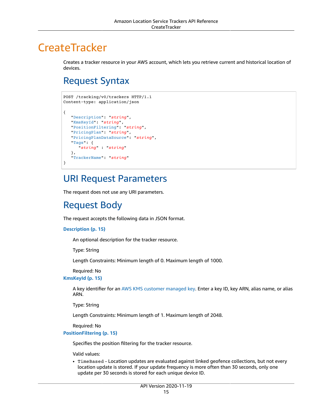# <span id="page-19-0"></span>**CreateTracker**

Creates a tracker resource in your AWS account, which lets you retrieve current and historical location of devices.

# <span id="page-19-1"></span>Request Syntax

```
POST /tracking/v0/trackers HTTP/1.1
Content-type: application/json
{
    "Description": "string",
    "KmsKeyId": "string",
    "PositionFiltering": "string",
    "PricingPlan": "string",
    "PricingPlanDataSource": "string",
    "Tags": { 
       "string" : "string" 
    },
    "TrackerName": "string"
}
```
### <span id="page-19-2"></span>URI Request Parameters

The request does not use any URI parameters.

### <span id="page-19-3"></span>Request Body

The request accepts the following data in JSON format.

#### <span id="page-19-4"></span>**[Description \(p. 15\)](#page-19-1)**

An optional description for the tracker resource.

Type: String

Length Constraints: Minimum length of 0. Maximum length of 1000.

Required: No

<span id="page-19-5"></span>**[KmsKeyId \(p. 15\)](#page-19-1)**

A key identifier for an AWS KMS customer [managed](https://docs.aws.amazon.com/kms/latest/developerguide/create-keys.html) key. Enter a key ID, key ARN, alias name, or alias ARN.

Type: String

Length Constraints: Minimum length of 1. Maximum length of 2048.

Required: No

<span id="page-19-6"></span>**[PositionFiltering \(p. 15\)](#page-19-1)**

Specifies the position filtering for the tracker resource.

Valid values:

• TimeBased - Location updates are evaluated against linked geofence collections, but not every location update is stored. If your update frequency is more often than 30 seconds, only one update per 30 seconds is stored for each unique device ID.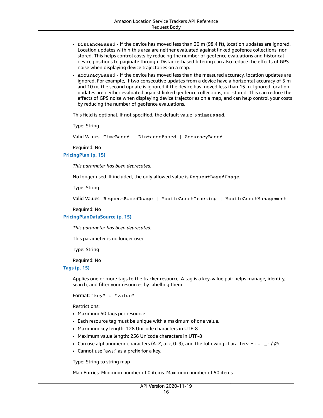- DistanceBased If the device has moved less than 30 m (98.4 ft), location updates are ignored. Location updates within this area are neither evaluated against linked geofence collections, nor stored. This helps control costs by reducing the number of geofence evaluations and historical device positions to paginate through. Distance-based filtering can also reduce the effects of GPS noise when displaying device trajectories on a map.
- AccuracyBased If the device has moved less than the measured accuracy, location updates are ignored. For example, if two consecutive updates from a device have a horizontal accuracy of 5 m and 10 m, the second update is ignored if the device has moved less than 15 m. Ignored location updates are neither evaluated against linked geofence collections, nor stored. This can reduce the effects of GPS noise when displaying device trajectories on a map, and can help control your costs by reducing the number of geofence evaluations.

This field is optional. If not specified, the default value is TimeBased.

Type: String

Valid Values: TimeBased | DistanceBased | AccuracyBased

Required: No

#### <span id="page-20-0"></span>**[PricingPlan \(p. 15\)](#page-19-1)**

*This parameter has been deprecated.*

No longer used. If included, the only allowed value is RequestBasedUsage.

Type: String

Valid Values: RequestBasedUsage | MobileAssetTracking | MobileAssetManagement

Required: No

#### <span id="page-20-1"></span>**[PricingPlanDataSource \(p. 15\)](#page-19-1)**

*This parameter has been deprecated.*

This parameter is no longer used.

Type: String

Required: No

#### <span id="page-20-2"></span>**[Tags \(p. 15\)](#page-19-1)**

Applies one or more tags to the tracker resource. A tag is a key-value pair helps manage, identify, search, and filter your resources by labelling them.

Format: "key" : "value"

Restrictions:

- Maximum 50 tags per resource
- Each resource tag must be unique with a maximum of one value.
- Maximum key length: 128 Unicode characters in UTF-8
- Maximum value length: 256 Unicode characters in UTF-8
- Can use alphanumeric characters (A–Z, a–z, 0–9), and the following characters:  $+ =$ .  $\pm$ ; /  $\omega$ .
- Cannot use "aws:" as a prefix for a key.

Type: String to string map

Map Entries: Minimum number of 0 items. Maximum number of 50 items.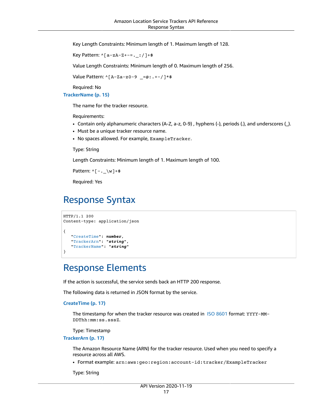Key Length Constraints: Minimum length of 1. Maximum length of 128.

Key Pattern:  $\wedge$ [a-zA-Z+-=.\_:/]+\$

Value Length Constraints: Minimum length of 0. Maximum length of 256.

Value Pattern: ^[A-Za-z0-9 \_=@:.+-/]\*\$

Required: No

<span id="page-21-2"></span>**[TrackerName \(p. 15\)](#page-19-1)**

The name for the tracker resource.

Requirements:

- Contain only alphanumeric characters (A-Z, a-z, 0-9) , hyphens (-), periods (.), and underscores (\_).
- Must be a unique tracker resource name.
- No spaces allowed. For example, ExampleTracker.

Type: String

Length Constraints: Minimum length of 1. Maximum length of 100.

Pattern:  $^([-,-\wedge w]+\$$ 

Required: Yes

### <span id="page-21-0"></span>Response Syntax

```
HTTP/1.1 200
Content-type: application/json
{
    "CreateTime": number,
    "TrackerArn": "string",
    "TrackerName": "string"
}
```
### <span id="page-21-1"></span>Response Elements

If the action is successful, the service sends back an HTTP 200 response.

The following data is returned in JSON format by the service.

#### <span id="page-21-3"></span>**[CreateTime \(p. 17\)](#page-21-0)**

The timestamp for when the tracker resource was created in ISO [8601](https://www.iso.org/iso-8601-date-and-time-format.html) format: YYYY-MM-DDThh:mm:ss.sssZ.

Type: Timestamp

<span id="page-21-4"></span>**[TrackerArn \(p. 17\)](#page-21-0)**

The Amazon Resource Name (ARN) for the tracker resource. Used when you need to specify a resource across all AWS.

• Format example: arn:aws:geo:region:account-id:tracker/ExampleTracker

Type: String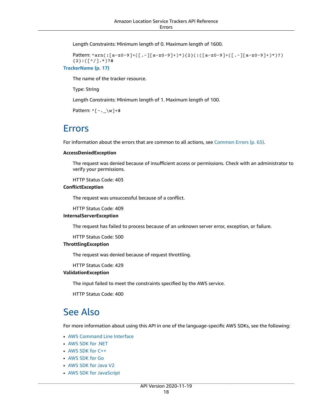Length Constraints: Minimum length of 0. Maximum length of 1600.

```
Pattern: ^arn(:[a-z0-9]+([.-][a-z0-9]+)*){2}(:([a-z0-9]+([.-][a-z0-9]+)*)?)
{2}:([^/].*)?$
```
<span id="page-22-2"></span>**[TrackerName \(p. 17\)](#page-21-0)**

The name of the tracker resource.

Type: String

Length Constraints: Minimum length of 1. Maximum length of 100.

Pattern: ^[-.\_\w]+\$

### <span id="page-22-0"></span>Errors

For information about the errors that are common to all actions, see [Common](#page-69-0) Error[s \(p. 65\).](#page-69-0)

#### **AccessDeniedException**

The request was denied because of insufficient access or permissions. Check with an administrator to verify your permissions.

HTTP Status Code: 403

#### **ConflictException**

The request was unsuccessful because of a conflict.

HTTP Status Code: 409

#### **InternalServerException**

The request has failed to process because of an unknown server error, exception, or failure.

HTTP Status Code: 500

#### **ThrottlingException**

The request was denied because of request throttling.

HTTP Status Code: 429

#### **ValidationException**

The input failed to meet the constraints specified by the AWS service.

HTTP Status Code: 400

### <span id="page-22-1"></span>See Also

- AWS [Command](https://docs.aws.amazon.com/goto/aws-cli/waypointtracking-2020-11-19/CreateTracker) Line Interface
- [AWS](https://docs.aws.amazon.com/goto/DotNetSDKV3/waypointtracking-2020-11-19/CreateTracker) SDK for .NET
- [AWS](https://docs.aws.amazon.com/goto/SdkForCpp/waypointtracking-2020-11-19/CreateTracker) SDK for C++
- [AWS](https://docs.aws.amazon.com/goto/SdkForGoV1/waypointtracking-2020-11-19/CreateTracker) SDK for Go
- [AWS](https://docs.aws.amazon.com/goto/SdkForJavaV2/waypointtracking-2020-11-19/CreateTracker) SDK for Java V2
- AWS SDK for [JavaScript](https://docs.aws.amazon.com/goto/AWSJavaScriptSDK/waypointtracking-2020-11-19/CreateTracker)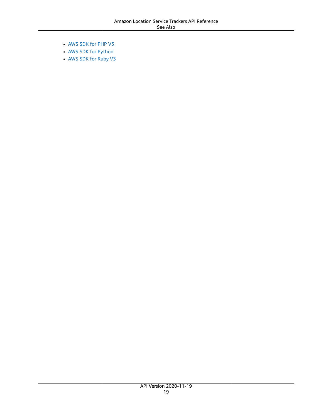- [AWS](https://docs.aws.amazon.com/goto/SdkForPHPV3/waypointtracking-2020-11-19/CreateTracker) SDK for PHP V3
- AWS SDK for [Python](https://docs.aws.amazon.com/goto/boto3/waypointtracking-2020-11-19/CreateTracker)
- AWS SDK for [Ruby](https://docs.aws.amazon.com/goto/SdkForRubyV3/waypointtracking-2020-11-19/CreateTracker) V3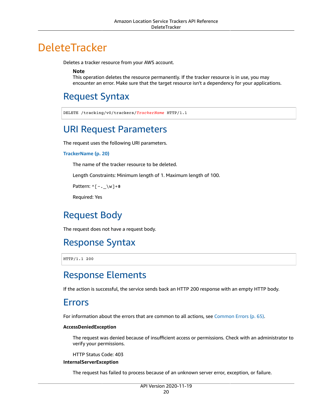# <span id="page-24-0"></span>DeleteTracker

Deletes a tracker resource from your AWS account.

**Note**

This operation deletes the resource permanently. If the tracker resource is in use, you may encounter an error. Make sure that the target resource isn't a dependency for your applications.

# <span id="page-24-1"></span>Request Syntax

DELETE /tracking/v0/trackers/*TrackerName* HTTP/1.1

# <span id="page-24-2"></span>URI Request Parameters

The request uses the following URI parameters.

#### **[TrackerName \(p. 20\)](#page-24-1)**

The name of the tracker resource to be deleted.

Length Constraints: Minimum length of 1. Maximum length of 100.

Pattern:  $^(-,-\wedge w]+$ \$

Required: Yes

## <span id="page-24-3"></span>Request Body

The request does not have a request body.

## <span id="page-24-4"></span>Response Syntax

HTTP/1.1 200

### <span id="page-24-5"></span>Response Elements

If the action is successful, the service sends back an HTTP 200 response with an empty HTTP body.

### <span id="page-24-6"></span>Errors

For information about the errors that are common to all actions, see [Common](#page-69-0) Error[s \(p. 65\).](#page-69-0)

#### **AccessDeniedException**

The request was denied because of insufficient access or permissions. Check with an administrator to verify your permissions.

HTTP Status Code: 403

#### **InternalServerException**

The request has failed to process because of an unknown server error, exception, or failure.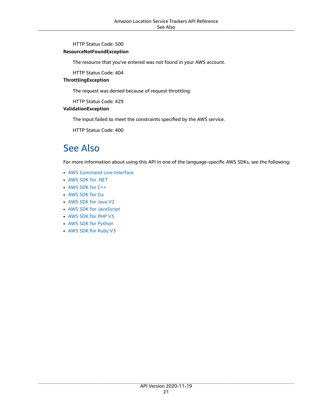HTTP Status Code: 500

#### **ResourceNotFoundException**

The resource that you've entered was not found in your AWS account.

HTTP Status Code: 404

#### **ThrottlingException**

The request was denied because of request throttling.

HTTP Status Code: 429

#### **ValidationException**

The input failed to meet the constraints specified by the AWS service.

HTTP Status Code: 400

### <span id="page-25-0"></span>See Also

- AWS [Command](https://docs.aws.amazon.com/goto/aws-cli/waypointtracking-2020-11-19/DeleteTracker) Line Interface
- [AWS](https://docs.aws.amazon.com/goto/DotNetSDKV3/waypointtracking-2020-11-19/DeleteTracker) SDK for .NET
- [AWS](https://docs.aws.amazon.com/goto/SdkForCpp/waypointtracking-2020-11-19/DeleteTracker) SDK for C++
- [AWS](https://docs.aws.amazon.com/goto/SdkForGoV1/waypointtracking-2020-11-19/DeleteTracker) SDK for Go
- [AWS](https://docs.aws.amazon.com/goto/SdkForJavaV2/waypointtracking-2020-11-19/DeleteTracker) SDK for Java V2
- AWS SDK for [JavaScript](https://docs.aws.amazon.com/goto/AWSJavaScriptSDK/waypointtracking-2020-11-19/DeleteTracker)
- [AWS](https://docs.aws.amazon.com/goto/SdkForPHPV3/waypointtracking-2020-11-19/DeleteTracker) SDK for PHP V3
- AWS SDK for [Python](https://docs.aws.amazon.com/goto/boto3/waypointtracking-2020-11-19/DeleteTracker)
- AWS SDK for [Ruby](https://docs.aws.amazon.com/goto/SdkForRubyV3/waypointtracking-2020-11-19/DeleteTracker) V3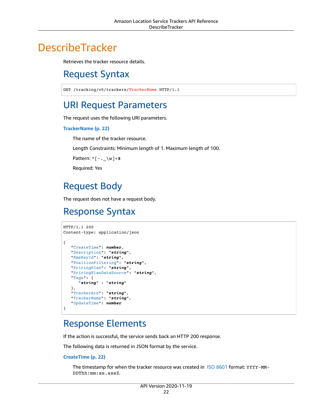# <span id="page-26-1"></span><span id="page-26-0"></span>**DescribeTracker**

Retrieves the tracker resource details.

# Request Syntax

GET /tracking/v0/trackers/*TrackerName* HTTP/1.1

## <span id="page-26-2"></span>URI Request Parameters

The request uses the following URI parameters.

#### **[TrackerName \(p. 22\)](#page-26-1)**

The name of the tracker resource.

Length Constraints: Minimum length of 1. Maximum length of 100.

Pattern: ^[-.\_\w]+\$

Required: Yes

# <span id="page-26-3"></span>Request Body

The request does not have a request body.

### <span id="page-26-4"></span>Response Syntax

```
HTTP/1.1 200
Content-type: application/json
{
    "CreateTime": number,
    "Description": "string",
    "KmsKeyId": "string",
    "PositionFiltering": "string",
    "PricingPlan": "string",
    "PricingPlanDataSource": "string",
    "Tags": { 
       "string" : "string" 
    },
    "TrackerArn": "string",
    "TrackerName": "string",
    "UpdateTime": number
}
```
### <span id="page-26-5"></span>Response Elements

If the action is successful, the service sends back an HTTP 200 response.

The following data is returned in JSON format by the service.

#### <span id="page-26-6"></span>**[CreateTime \(p. 22\)](#page-26-4)**

The timestamp for when the tracker resource was created in ISO [8601](https://www.iso.org/iso-8601-date-and-time-format.html) format: YYYY-MM-DDThh:mm:ss.sssZ.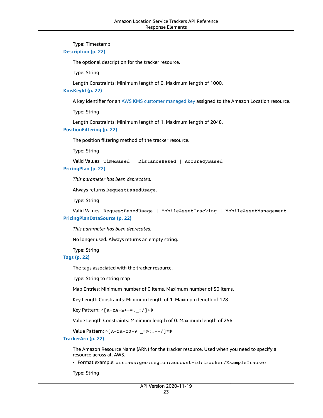#### Type: Timestamp

#### <span id="page-27-0"></span>**[Description \(p. 22\)](#page-26-4)**

The optional description for the tracker resource.

Type: String

Length Constraints: Minimum length of 0. Maximum length of 1000.

#### <span id="page-27-1"></span>**[KmsKeyId \(p. 22\)](#page-26-4)**

A key identifier for an AWS KMS customer [managed](https://docs.aws.amazon.com/kms/latest/developerguide/create-keys.html) key assigned to the Amazon Location resource.

Type: String

Length Constraints: Minimum length of 1. Maximum length of 2048.

#### <span id="page-27-2"></span>**[PositionFiltering \(p. 22\)](#page-26-4)**

The position filtering method of the tracker resource.

Type: String

Valid Values: TimeBased | DistanceBased | AccuracyBased

#### <span id="page-27-3"></span>**[PricingPlan \(p. 22\)](#page-26-4)**

*This parameter has been deprecated.*

Always returns RequestBasedUsage.

Type: String

<span id="page-27-4"></span>Valid Values: RequestBasedUsage | MobileAssetTracking | MobileAssetManagement **[PricingPlanDataSource \(p. 22\)](#page-26-4)**

*This parameter has been deprecated.*

No longer used. Always returns an empty string.

Type: String

<span id="page-27-5"></span>**[Tags \(p. 22\)](#page-26-4)**

The tags associated with the tracker resource.

Type: String to string map

Map Entries: Minimum number of 0 items. Maximum number of 50 items.

Key Length Constraints: Minimum length of 1. Maximum length of 128.

Key Pattern: ^[a-zA-Z+-=.\_:/]+\$

Value Length Constraints: Minimum length of 0. Maximum length of 256.

Value Pattern: ^[A-Za-z0-9 \_=@:.+-/]\*\$

#### <span id="page-27-6"></span>**[TrackerArn \(p. 22\)](#page-26-4)**

The Amazon Resource Name (ARN) for the tracker resource. Used when you need to specify a resource across all AWS.

• Format example: arn:aws:geo:region:account-id:tracker/ExampleTracker

Type: String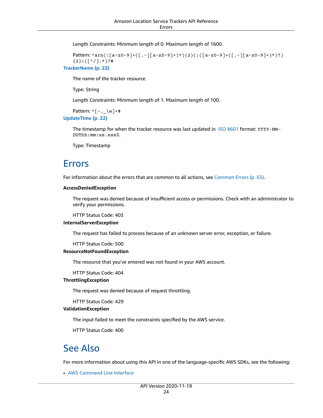Length Constraints: Minimum length of 0. Maximum length of 1600.

```
Pattern: ^arn(:[a-z0-9]+([.-][a-z0-9]+)*){2}(:([a-z0-9]+([.-][a-z0-9]+)*)?)
{2}:([^/].*)?$
```
<span id="page-28-2"></span>**[TrackerName \(p. 22\)](#page-26-4)**

The name of the tracker resource.

Type: String

Length Constraints: Minimum length of 1. Maximum length of 100.

Pattern:  $^(-,-\wedge w]+$ \$

<span id="page-28-3"></span>**[UpdateTime \(p. 22\)](#page-26-4)**

The timestamp for when the tracker resource was last updated in ISO [8601](https://www.iso.org/iso-8601-date-and-time-format.html) format: YYYY-MM-DDThh:mm:ss.sssZ.

Type: Timestamp

### <span id="page-28-0"></span>Errors

For information about the errors that are common to all actions, see [Common](#page-69-0) Error[s \(p. 65\).](#page-69-0)

#### **AccessDeniedException**

The request was denied because of insufficient access or permissions. Check with an administrator to verify your permissions.

HTTP Status Code: 403

#### **InternalServerException**

The request has failed to process because of an unknown server error, exception, or failure.

HTTP Status Code: 500

#### **ResourceNotFoundException**

The resource that you've entered was not found in your AWS account.

HTTP Status Code: 404

#### **ThrottlingException**

The request was denied because of request throttling.

HTTP Status Code: 429

#### **ValidationException**

The input failed to meet the constraints specified by the AWS service.

HTTP Status Code: 400

### <span id="page-28-1"></span>See Also

For more information about using this API in one of the language-specific AWS SDKs, see the following:

• AWS [Command](https://docs.aws.amazon.com/goto/aws-cli/waypointtracking-2020-11-19/DescribeTracker) Line Interface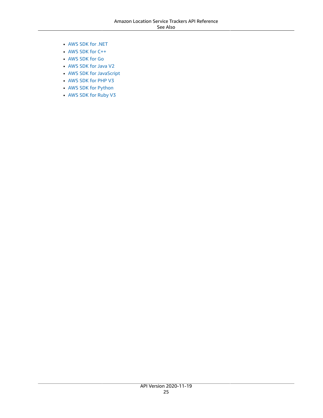- [AWS](https://docs.aws.amazon.com/goto/DotNetSDKV3/waypointtracking-2020-11-19/DescribeTracker) SDK for .NET
- [AWS](https://docs.aws.amazon.com/goto/SdkForCpp/waypointtracking-2020-11-19/DescribeTracker) SDK for C++
- [AWS](https://docs.aws.amazon.com/goto/SdkForGoV1/waypointtracking-2020-11-19/DescribeTracker) SDK for Go
- [AWS](https://docs.aws.amazon.com/goto/SdkForJavaV2/waypointtracking-2020-11-19/DescribeTracker) SDK for Java V2
- AWS SDK for [JavaScript](https://docs.aws.amazon.com/goto/AWSJavaScriptSDK/waypointtracking-2020-11-19/DescribeTracker)
- [AWS](https://docs.aws.amazon.com/goto/SdkForPHPV3/waypointtracking-2020-11-19/DescribeTracker) SDK for PHP V3
- AWS SDK for [Python](https://docs.aws.amazon.com/goto/boto3/waypointtracking-2020-11-19/DescribeTracker)
- AWS SDK for [Ruby](https://docs.aws.amazon.com/goto/SdkForRubyV3/waypointtracking-2020-11-19/DescribeTracker) V3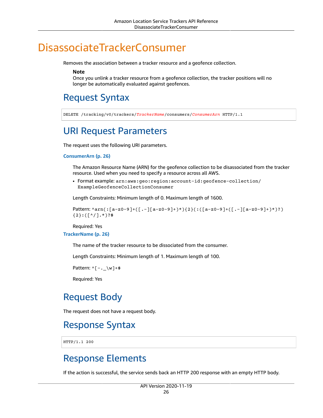# <span id="page-30-0"></span>DisassociateTrackerConsumer

Removes the association between a tracker resource and a geofence collection.

**Note**

Once you unlink a tracker resource from a geofence collection, the tracker positions will no longer be automatically evaluated against geofences.

## <span id="page-30-1"></span>Request Syntax

DELETE /tracking/v0/trackers/*TrackerName*/consumers/*ConsumerArn* HTTP/1.1

## <span id="page-30-2"></span>URI Request Parameters

The request uses the following URI parameters.

#### **[ConsumerArn \(p. 26\)](#page-30-1)**

The Amazon Resource Name (ARN) for the geofence collection to be disassociated from the tracker resource. Used when you need to specify a resource across all AWS.

• Format example: arn:aws:geo:region:account-id:geofence-collection/ ExampleGeofenceCollectionConsumer

Length Constraints: Minimum length of 0. Maximum length of 1600.

```
Pattern: ^arn(:[a-z0-9]+([.-][a-z0-9]+)*){2}(:([a-z0-9]+([.-][a-z0-9]+)*)?)
{2}:([^/].*)?$
```
Required: Yes

#### **[TrackerName \(p. 26\)](#page-30-1)**

The name of the tracker resource to be dissociated from the consumer.

Length Constraints: Minimum length of 1. Maximum length of 100.

Pattern:  $^([-,-\wedge w]+\$$ 

Required: Yes

### <span id="page-30-3"></span>Request Body

The request does not have a request body.

### <span id="page-30-4"></span>Response Syntax

HTTP/1.1 200

### <span id="page-30-5"></span>Response Elements

If the action is successful, the service sends back an HTTP 200 response with an empty HTTP body.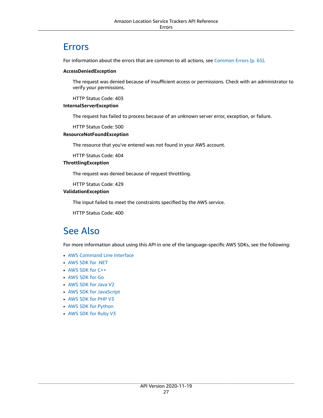### <span id="page-31-0"></span>**Frrors**

For information about the errors that are common to all actions, see [Common](#page-69-0) Error[s \(p. 65\).](#page-69-0)

#### **AccessDeniedException**

The request was denied because of insufficient access or permissions. Check with an administrator to verify your permissions.

HTTP Status Code: 403

#### **InternalServerException**

The request has failed to process because of an unknown server error, exception, or failure.

HTTP Status Code: 500

#### **ResourceNotFoundException**

The resource that you've entered was not found in your AWS account.

HTTP Status Code: 404

#### **ThrottlingException**

The request was denied because of request throttling.

HTTP Status Code: 429

#### **ValidationException**

The input failed to meet the constraints specified by the AWS service.

HTTP Status Code: 400

### <span id="page-31-1"></span>See Also

- AWS [Command](https://docs.aws.amazon.com/goto/aws-cli/waypointtracking-2020-11-19/DisassociateTrackerConsumer) Line Interface
- [AWS](https://docs.aws.amazon.com/goto/DotNetSDKV3/waypointtracking-2020-11-19/DisassociateTrackerConsumer) SDK for .NET
- [AWS](https://docs.aws.amazon.com/goto/SdkForCpp/waypointtracking-2020-11-19/DisassociateTrackerConsumer) SDK for C++
- [AWS](https://docs.aws.amazon.com/goto/SdkForGoV1/waypointtracking-2020-11-19/DisassociateTrackerConsumer) SDK for Go
- [AWS](https://docs.aws.amazon.com/goto/SdkForJavaV2/waypointtracking-2020-11-19/DisassociateTrackerConsumer) SDK for Java V2
- AWS SDK for [JavaScript](https://docs.aws.amazon.com/goto/AWSJavaScriptSDK/waypointtracking-2020-11-19/DisassociateTrackerConsumer)
- [AWS](https://docs.aws.amazon.com/goto/SdkForPHPV3/waypointtracking-2020-11-19/DisassociateTrackerConsumer) SDK for PHP V3
- AWS SDK for [Python](https://docs.aws.amazon.com/goto/boto3/waypointtracking-2020-11-19/DisassociateTrackerConsumer)
- AWS SDK for [Ruby](https://docs.aws.amazon.com/goto/SdkForRubyV3/waypointtracking-2020-11-19/DisassociateTrackerConsumer) V3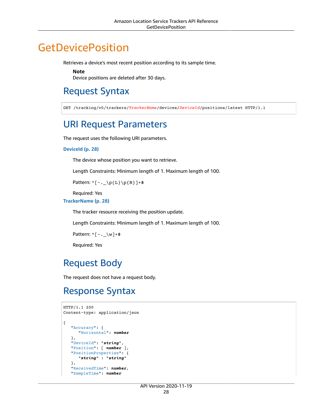# <span id="page-32-0"></span>**GetDevicePosition**

Retrieves a device's most recent position according to its sample time.

**Note**

Device positions are deleted after 30 days.

## <span id="page-32-1"></span>Request Syntax

GET /tracking/v0/trackers/*TrackerName*/devices/*DeviceId*/positions/latest HTTP/1.1

### <span id="page-32-2"></span>URI Request Parameters

The request uses the following URI parameters.

#### **[DeviceId \(p. 28\)](#page-32-1)**

The device whose position you want to retrieve.

Length Constraints: Minimum length of 1. Maximum length of 100.

Pattern:  $^(-,-\p4\text{L}\p6\$ 

Required: Yes

#### **[TrackerName \(p. 28\)](#page-32-1)**

The tracker resource receiving the position update.

Length Constraints: Minimum length of 1. Maximum length of 100.

```
Pattern: ^[-._\w]+$
```
Required: Yes

### <span id="page-32-3"></span>Request Body

The request does not have a request body.

### <span id="page-32-4"></span>Response Syntax

```
HTTP/1.1 200
Content-type: application/json
{
    "Accuracy": { 
       "Horizontal": number
    },
    "DeviceId": "string",
    "Position": [ number ],
    "PositionProperties": { 
       "string" : "string" 
    },
    "ReceivedTime": number,
    "SampleTime": number
```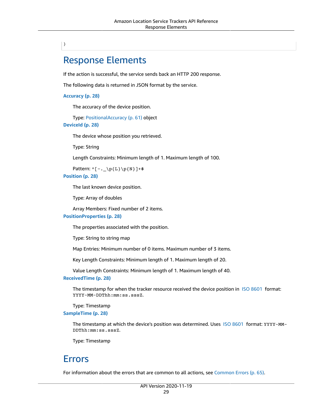### <span id="page-33-0"></span>}

### Response Elements

If the action is successful, the service sends back an HTTP 200 response.

The following data is returned in JSON format by the service.

#### <span id="page-33-2"></span>**[Accuracy \(p. 28\)](#page-32-4)**

The accuracy of the device position.

Type: [PositionalAccuracy \(p. 61\)](#page-65-0) object

#### <span id="page-33-3"></span>**[DeviceId \(p. 28\)](#page-32-4)**

The device whose position you retrieved.

Type: String

Length Constraints: Minimum length of 1. Maximum length of 100.

Pattern:  $\{[-,-\p{L}\p{L}\p{N}\}]+$ 

#### <span id="page-33-4"></span>**[Position \(p. 28\)](#page-32-4)**

The last known device position.

Type: Array of doubles

Array Members: Fixed number of 2 items.

#### <span id="page-33-5"></span>**[PositionProperties \(p. 28\)](#page-32-4)**

The properties associated with the position.

Type: String to string map

Map Entries: Minimum number of 0 items. Maximum number of 3 items.

Key Length Constraints: Minimum length of 1. Maximum length of 20.

Value Length Constraints: Minimum length of 1. Maximum length of 40.

#### <span id="page-33-6"></span>**[ReceivedTime \(p. 28\)](#page-32-4)**

The timestamp for when the tracker resource received the device position in ISO [8601](https://www.iso.org/iso-8601-date-and-time-format.html) format: YYYY-MM-DDThh:mm:ss.sssZ.

Type: Timestamp

#### <span id="page-33-7"></span>**[SampleTime \(p. 28\)](#page-32-4)**

The timestamp at which the device's position was determined. Uses ISO [8601](https://www.iso.org/iso-8601-date-and-time-format.html) format: YYYY-MM-DDThh:mm:ss.sssZ.

Type: Timestamp

### <span id="page-33-1"></span>Errors

For information about the errors that are common to all actions, see [Common](#page-69-0) Error[s \(p. 65\).](#page-69-0)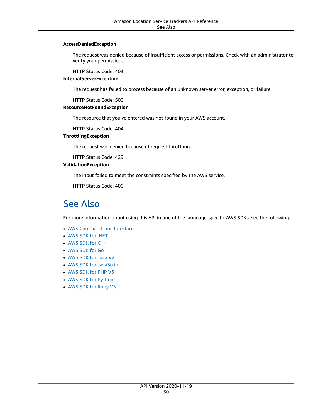#### **AccessDeniedException**

The request was denied because of insufficient access or permissions. Check with an administrator to verify your permissions.

HTTP Status Code: 403

#### **InternalServerException**

The request has failed to process because of an unknown server error, exception, or failure.

HTTP Status Code: 500

#### **ResourceNotFoundException**

The resource that you've entered was not found in your AWS account.

HTTP Status Code: 404

#### **ThrottlingException**

The request was denied because of request throttling.

HTTP Status Code: 429

#### **ValidationException**

The input failed to meet the constraints specified by the AWS service.

HTTP Status Code: 400

### <span id="page-34-0"></span>See Also

- AWS [Command](https://docs.aws.amazon.com/goto/aws-cli/waypointtracking-2020-11-19/GetDevicePosition) Line Interface
- [AWS](https://docs.aws.amazon.com/goto/DotNetSDKV3/waypointtracking-2020-11-19/GetDevicePosition) SDK for .NET
- [AWS](https://docs.aws.amazon.com/goto/SdkForCpp/waypointtracking-2020-11-19/GetDevicePosition) SDK for C++
- [AWS](https://docs.aws.amazon.com/goto/SdkForGoV1/waypointtracking-2020-11-19/GetDevicePosition) SDK for Go
- [AWS](https://docs.aws.amazon.com/goto/SdkForJavaV2/waypointtracking-2020-11-19/GetDevicePosition) SDK for Java V2
- AWS SDK for [JavaScript](https://docs.aws.amazon.com/goto/AWSJavaScriptSDK/waypointtracking-2020-11-19/GetDevicePosition)
- [AWS](https://docs.aws.amazon.com/goto/SdkForPHPV3/waypointtracking-2020-11-19/GetDevicePosition) SDK for PHP V3
- AWS SDK for [Python](https://docs.aws.amazon.com/goto/boto3/waypointtracking-2020-11-19/GetDevicePosition)
- AWS SDK for [Ruby](https://docs.aws.amazon.com/goto/SdkForRubyV3/waypointtracking-2020-11-19/GetDevicePosition) V3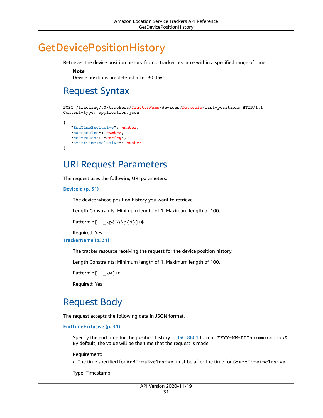# <span id="page-35-0"></span>GetDevicePositionHistory

Retrieves the device position history from a tracker resource within a specified range of time.

**Note**

Device positions are deleted after 30 days.

# <span id="page-35-1"></span>Request Syntax

```
POST /tracking/v0/trackers/TrackerName/devices/DeviceId/list-positions HTTP/1.1
Content-type: application/json
{
    "EndTimeExclusive": number,
    "MaxResults": number,
    "NextToken": "string",
    "StartTimeInclusive": number
}
```
### <span id="page-35-2"></span>URI Request Parameters

The request uses the following URI parameters.

#### **[DeviceId \(p. 31\)](#page-35-1)**

The device whose position history you want to retrieve.

Length Constraints: Minimum length of 1. Maximum length of 100.

```
Pattern: ^(-,-\p{L}\p{L}\p{N}]+$
```
Required: Yes

#### **[TrackerName \(p. 31\)](#page-35-1)**

The tracker resource receiving the request for the device position history.

Length Constraints: Minimum length of 1. Maximum length of 100.

Pattern:  $^([-,-\wedge w]+\$$ 

Required: Yes

## <span id="page-35-3"></span>Request Body

The request accepts the following data in JSON format.

<span id="page-35-4"></span>**[EndTimeExclusive \(p. 31\)](#page-35-1)**

Specify the end time for the position history in ISO [8601](https://www.iso.org/iso-8601-date-and-time-format.html) format: YYYY-MM-DDThh:mm:ss.sssZ. By default, the value will be the time that the request is made.

Requirement:

• The time specified for EndTimeExclusive must be after the time for StartTimeInclusive.

Type: Timestamp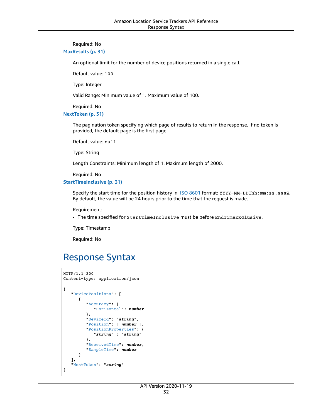#### Required: No

#### <span id="page-36-1"></span>**[MaxResults \(p. 31\)](#page-35-1)**

An optional limit for the number of device positions returned in a single call.

Default value: 100

Type: Integer

Valid Range: Minimum value of 1. Maximum value of 100.

Required: No

<span id="page-36-2"></span>**[NextToken \(p. 31\)](#page-35-1)**

The pagination token specifying which page of results to return in the response. If no token is provided, the default page is the first page.

Default value: null

Type: String

Length Constraints: Minimum length of 1. Maximum length of 2000.

Required: No

<span id="page-36-3"></span>**[StartTimeInclusive \(p. 31\)](#page-35-1)**

Specify the start time for the position history in ISO [8601](https://www.iso.org/iso-8601-date-and-time-format.html) format: YYYY-MM-DDThh:mm:ss.sssZ. By default, the value will be 24 hours prior to the time that the request is made.

Requirement:

• The time specified for StartTimeInclusive must be before EndTimeExclusive.

Type: Timestamp

Required: No

### <span id="page-36-0"></span>Response Syntax

```
HTTP/1.1 200
Content-type: application/json
{
    "DevicePositions": [ 
       { 
           "Accuracy": { 
              "Horizontal": number
           },
           "DeviceId": "string",
           "Position": [ number ],
           "PositionProperties": { 
              "string" : "string" 
           },
           "ReceivedTime": number,
           "SampleTime": number
       }
    ],
    "NextToken": "string"
}
```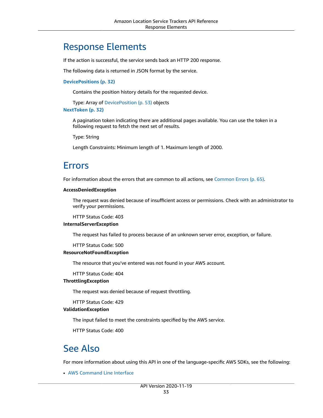### <span id="page-37-0"></span>Response Elements

If the action is successful, the service sends back an HTTP 200 response.

The following data is returned in JSON format by the service.

#### <span id="page-37-3"></span>**[DevicePositions \(p. 32\)](#page-36-0)**

Contains the position history details for the requested device.

Type: Array of [DevicePosition \(p. 53\)](#page-57-0) objects

<span id="page-37-4"></span>**[NextToken \(p. 32\)](#page-36-0)**

A pagination token indicating there are additional pages available. You can use the token in a following request to fetch the next set of results.

Type: String

Length Constraints: Minimum length of 1. Maximum length of 2000.

### <span id="page-37-1"></span>Errors

For information about the errors that are common to all actions, see [Common](#page-69-0) Error[s \(p. 65\).](#page-69-0)

#### **AccessDeniedException**

The request was denied because of insufficient access or permissions. Check with an administrator to verify your permissions.

HTTP Status Code: 403

#### **InternalServerException**

The request has failed to process because of an unknown server error, exception, or failure.

HTTP Status Code: 500

#### **ResourceNotFoundException**

The resource that you've entered was not found in your AWS account.

HTTP Status Code: 404

#### **ThrottlingException**

The request was denied because of request throttling.

HTTP Status Code: 429

#### **ValidationException**

The input failed to meet the constraints specified by the AWS service.

HTTP Status Code: 400

### <span id="page-37-2"></span>See Also

For more information about using this API in one of the language-specific AWS SDKs, see the following:

• AWS [Command](https://docs.aws.amazon.com/goto/aws-cli/waypointtracking-2020-11-19/GetDevicePositionHistory) Line Interface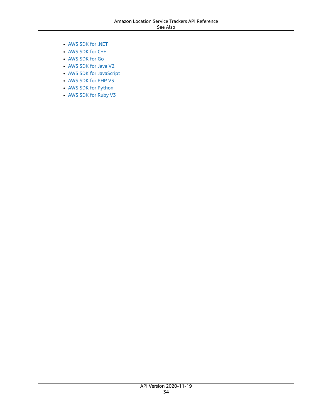- [AWS](https://docs.aws.amazon.com/goto/DotNetSDKV3/waypointtracking-2020-11-19/GetDevicePositionHistory) SDK for .NET
- [AWS](https://docs.aws.amazon.com/goto/SdkForCpp/waypointtracking-2020-11-19/GetDevicePositionHistory) SDK for C++
- [AWS](https://docs.aws.amazon.com/goto/SdkForGoV1/waypointtracking-2020-11-19/GetDevicePositionHistory) SDK for Go
- [AWS](https://docs.aws.amazon.com/goto/SdkForJavaV2/waypointtracking-2020-11-19/GetDevicePositionHistory) SDK for Java V2
- AWS SDK for [JavaScript](https://docs.aws.amazon.com/goto/AWSJavaScriptSDK/waypointtracking-2020-11-19/GetDevicePositionHistory)
- [AWS](https://docs.aws.amazon.com/goto/SdkForPHPV3/waypointtracking-2020-11-19/GetDevicePositionHistory) SDK for PHP V3
- AWS SDK for [Python](https://docs.aws.amazon.com/goto/boto3/waypointtracking-2020-11-19/GetDevicePositionHistory)
- AWS SDK for [Ruby](https://docs.aws.amazon.com/goto/SdkForRubyV3/waypointtracking-2020-11-19/GetDevicePositionHistory) V3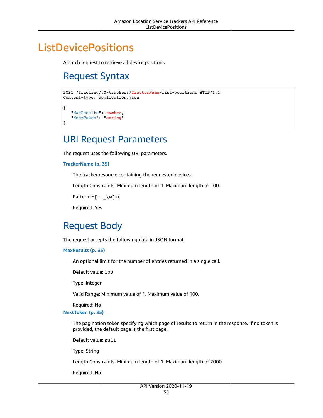# <span id="page-39-1"></span><span id="page-39-0"></span>**ListDevicePositions**

A batch request to retrieve all device positions.

# Request Syntax

```
POST /tracking/v0/trackers/TrackerName/list-positions HTTP/1.1
Content-type: application/json
{
    "MaxResults": number,
    "NextToken": "string"
}
```
### <span id="page-39-2"></span>URI Request Parameters

The request uses the following URI parameters.

#### **[TrackerName \(p. 35\)](#page-39-1)**

The tracker resource containing the requested devices.

Length Constraints: Minimum length of 1. Maximum length of 100.

Pattern: ^[-.\_\w]+\$

Required: Yes

## <span id="page-39-3"></span>Request Body

The request accepts the following data in JSON format.

#### <span id="page-39-4"></span>**[MaxResults \(p. 35\)](#page-39-1)**

An optional limit for the number of entries returned in a single call.

Default value: 100

Type: Integer

Valid Range: Minimum value of 1. Maximum value of 100.

Required: No

#### <span id="page-39-5"></span>**[NextToken \(p. 35\)](#page-39-1)**

The pagination token specifying which page of results to return in the response. If no token is provided, the default page is the first page.

Default value: null

Type: String

Length Constraints: Minimum length of 1. Maximum length of 2000.

Required: No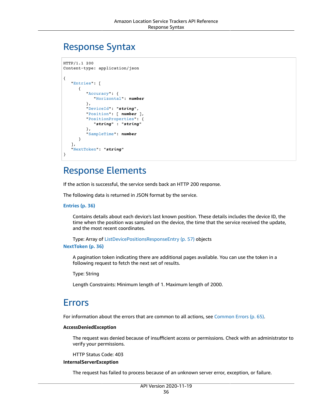### <span id="page-40-0"></span>Response Syntax

```
HTTP/1.1 200
Content-type: application/json
{
    "Entries": [ 
        { 
           "Accuracy": { 
              "Horizontal": number
           },
           "DeviceId": "string",
           "Position": [ number ],
           "PositionProperties": { 
              "string" : "string" 
           },
           "SampleTime": number
        }
    ],
    "NextToken": "string"
}
```
### <span id="page-40-1"></span>Response Elements

If the action is successful, the service sends back an HTTP 200 response.

The following data is returned in JSON format by the service.

#### <span id="page-40-3"></span>**[Entries \(p. 36\)](#page-40-0)**

Contains details about each device's last known position. These details includes the device ID, the time when the position was sampled on the device, the time that the service received the update, and the most recent coordinates.

Type: Array of [ListDevicePositionsResponseEntry \(p. 57\)](#page-61-0) objects

#### <span id="page-40-4"></span>**[NextToken \(p. 36\)](#page-40-0)**

A pagination token indicating there are additional pages available. You can use the token in a following request to fetch the next set of results.

Type: String

Length Constraints: Minimum length of 1. Maximum length of 2000.

### <span id="page-40-2"></span>Errors

For information about the errors that are common to all actions, see [Common](#page-69-0) Error[s \(p. 65\).](#page-69-0)

#### **AccessDeniedException**

The request was denied because of insufficient access or permissions. Check with an administrator to verify your permissions.

HTTP Status Code: 403

#### **InternalServerException**

The request has failed to process because of an unknown server error, exception, or failure.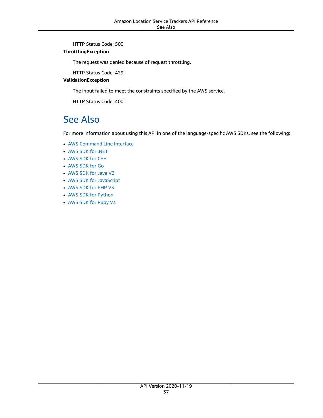HTTP Status Code: 500

#### **ThrottlingException**

The request was denied because of request throttling.

HTTP Status Code: 429

#### **ValidationException**

The input failed to meet the constraints specified by the AWS service.

HTTP Status Code: 400

### <span id="page-41-0"></span>See Also

- AWS [Command](https://docs.aws.amazon.com/goto/aws-cli/waypointtracking-2020-11-19/ListDevicePositions) Line Interface
- [AWS](https://docs.aws.amazon.com/goto/DotNetSDKV3/waypointtracking-2020-11-19/ListDevicePositions) SDK for .NET
- [AWS](https://docs.aws.amazon.com/goto/SdkForCpp/waypointtracking-2020-11-19/ListDevicePositions) SDK for C++
- [AWS](https://docs.aws.amazon.com/goto/SdkForGoV1/waypointtracking-2020-11-19/ListDevicePositions) SDK for Go
- [AWS](https://docs.aws.amazon.com/goto/SdkForJavaV2/waypointtracking-2020-11-19/ListDevicePositions) SDK for Java V2
- AWS SDK for [JavaScript](https://docs.aws.amazon.com/goto/AWSJavaScriptSDK/waypointtracking-2020-11-19/ListDevicePositions)
- [AWS](https://docs.aws.amazon.com/goto/SdkForPHPV3/waypointtracking-2020-11-19/ListDevicePositions) SDK for PHP V3
- AWS SDK for [Python](https://docs.aws.amazon.com/goto/boto3/waypointtracking-2020-11-19/ListDevicePositions)
- AWS SDK for [Ruby](https://docs.aws.amazon.com/goto/SdkForRubyV3/waypointtracking-2020-11-19/ListDevicePositions) V3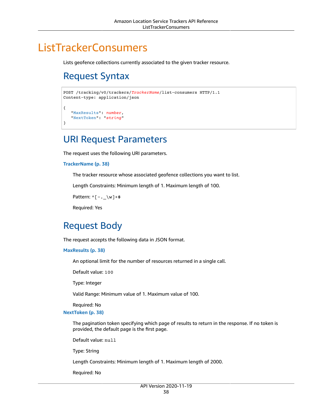# <span id="page-42-1"></span><span id="page-42-0"></span>**ListTrackerConsumers**

Lists geofence collections currently associated to the given tracker resource.

# Request Syntax

```
POST /tracking/v0/trackers/TrackerName/list-consumers HTTP/1.1
Content-type: application/json
{
    "MaxResults": number,
    "NextToken": "string"
}
```
### <span id="page-42-2"></span>URI Request Parameters

The request uses the following URI parameters.

#### **[TrackerName \(p. 38\)](#page-42-1)**

The tracker resource whose associated geofence collections you want to list.

Length Constraints: Minimum length of 1. Maximum length of 100.

```
Pattern: ^[-._\w]+$
```
Required: Yes

## <span id="page-42-3"></span>Request Body

The request accepts the following data in JSON format.

#### <span id="page-42-4"></span>**[MaxResults \(p. 38\)](#page-42-1)**

An optional limit for the number of resources returned in a single call.

Default value: 100

Type: Integer

Valid Range: Minimum value of 1. Maximum value of 100.

Required: No

#### <span id="page-42-5"></span>**[NextToken \(p. 38\)](#page-42-1)**

The pagination token specifying which page of results to return in the response. If no token is provided, the default page is the first page.

Default value: null

Type: String

Length Constraints: Minimum length of 1. Maximum length of 2000.

Required: No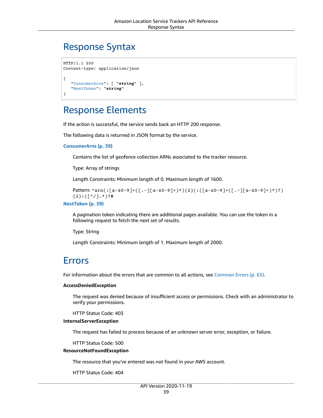### <span id="page-43-0"></span>Response Syntax

```
HTTP/1.1 200
Content-type: application/json
{
    "ConsumerArns": [ "string" ],
    "NextToken": "string"
}
```
### <span id="page-43-1"></span>Response Elements

If the action is successful, the service sends back an HTTP 200 response.

The following data is returned in JSON format by the service.

#### <span id="page-43-3"></span>**[ConsumerArns \(p. 39\)](#page-43-0)**

Contains the list of geofence collection ARNs associated to the tracker resource.

Type: Array of strings

Length Constraints: Minimum length of 0. Maximum length of 1600.

```
Pattern: ^arn(:[a-z0-9]+([.-][a-z0-9]+)*){2}(:([a-z0-9]+([.-][a-z0-9]+)*)?)
{2}:([^/].*)?$
```
<span id="page-43-4"></span>**[NextToken \(p. 39\)](#page-43-0)**

A pagination token indicating there are additional pages available. You can use the token in a following request to fetch the next set of results.

Type: String

Length Constraints: Minimum length of 1. Maximum length of 2000.

### <span id="page-43-2"></span>Errors

For information about the errors that are common to all actions, see [Common](#page-69-0) Error[s \(p. 65\).](#page-69-0)

#### **AccessDeniedException**

The request was denied because of insufficient access or permissions. Check with an administrator to verify your permissions.

HTTP Status Code: 403

#### **InternalServerException**

The request has failed to process because of an unknown server error, exception, or failure.

HTTP Status Code: 500

#### **ResourceNotFoundException**

The resource that you've entered was not found in your AWS account.

HTTP Status Code: 404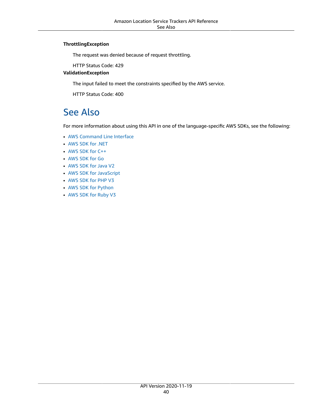#### **ThrottlingException**

The request was denied because of request throttling.

HTTP Status Code: 429

#### **ValidationException**

The input failed to meet the constraints specified by the AWS service.

HTTP Status Code: 400

### <span id="page-44-0"></span>See Also

- AWS [Command](https://docs.aws.amazon.com/goto/aws-cli/waypointtracking-2020-11-19/ListTrackerConsumers) Line Interface
- [AWS](https://docs.aws.amazon.com/goto/DotNetSDKV3/waypointtracking-2020-11-19/ListTrackerConsumers) SDK for .NET
- [AWS](https://docs.aws.amazon.com/goto/SdkForCpp/waypointtracking-2020-11-19/ListTrackerConsumers) SDK for C++
- [AWS](https://docs.aws.amazon.com/goto/SdkForGoV1/waypointtracking-2020-11-19/ListTrackerConsumers) SDK for Go
- [AWS](https://docs.aws.amazon.com/goto/SdkForJavaV2/waypointtracking-2020-11-19/ListTrackerConsumers) SDK for Java V2
- AWS SDK for [JavaScript](https://docs.aws.amazon.com/goto/AWSJavaScriptSDK/waypointtracking-2020-11-19/ListTrackerConsumers)
- [AWS](https://docs.aws.amazon.com/goto/SdkForPHPV3/waypointtracking-2020-11-19/ListTrackerConsumers) SDK for PHP V3
- AWS SDK for [Python](https://docs.aws.amazon.com/goto/boto3/waypointtracking-2020-11-19/ListTrackerConsumers)
- AWS SDK for [Ruby](https://docs.aws.amazon.com/goto/SdkForRubyV3/waypointtracking-2020-11-19/ListTrackerConsumers) V3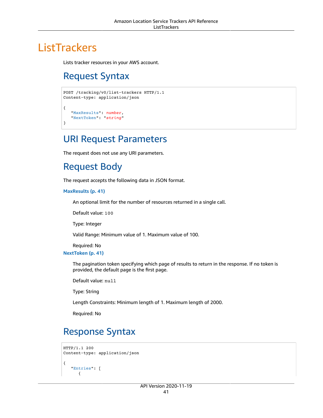# <span id="page-45-1"></span><span id="page-45-0"></span>**ListTrackers**

Lists tracker resources in your AWS account.

# Request Syntax

```
POST /tracking/v0/list-trackers HTTP/1.1
Content-type: application/json
{
    "MaxResults": number,
    "NextToken": "string"
}
```
### <span id="page-45-2"></span>URI Request Parameters

The request does not use any URI parameters.

## <span id="page-45-3"></span>Request Body

The request accepts the following data in JSON format.

#### <span id="page-45-5"></span>**[MaxResults \(p. 41\)](#page-45-1)**

An optional limit for the number of resources returned in a single call.

Default value: 100

Type: Integer

Valid Range: Minimum value of 1. Maximum value of 100.

Required: No

<span id="page-45-6"></span>**[NextToken \(p. 41\)](#page-45-1)**

The pagination token specifying which page of results to return in the response. If no token is provided, the default page is the first page.

Default value: null

Type: String

Length Constraints: Minimum length of 1. Maximum length of 2000.

Required: No

## <span id="page-45-4"></span>Response Syntax

```
HTTP/1.1 200
Content-type: application/json
{
    "Entries": [ 
        {
```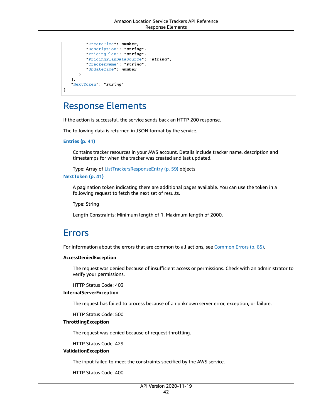```
 "CreateTime": number,
          "Description": "string",
          "PricingPlan": "string",
          "PricingPlanDataSource": "string",
          "TrackerName": "string",
          "UpdateTime": number
       }
    ],
    "NextToken": "string"
}
```
### <span id="page-46-0"></span>Response Elements

If the action is successful, the service sends back an HTTP 200 response.

The following data is returned in JSON format by the service.

#### <span id="page-46-2"></span>**[Entries \(p. 41\)](#page-45-4)**

Contains tracker resources in your AWS account. Details include tracker name, description and timestamps for when the tracker was created and last updated.

Type: Array of [ListTrackersResponseEntry \(p. 59\)](#page-63-0) objects

#### <span id="page-46-3"></span>**[NextToken \(p. 41\)](#page-45-4)**

A pagination token indicating there are additional pages available. You can use the token in a following request to fetch the next set of results.

Type: String

Length Constraints: Minimum length of 1. Maximum length of 2000.

### <span id="page-46-1"></span>Errors

For information about the errors that are common to all actions, see [Common](#page-69-0) Error[s \(p. 65\).](#page-69-0)

#### **AccessDeniedException**

The request was denied because of insufficient access or permissions. Check with an administrator to verify your permissions.

HTTP Status Code: 403

#### **InternalServerException**

The request has failed to process because of an unknown server error, exception, or failure.

HTTP Status Code: 500

#### **ThrottlingException**

The request was denied because of request throttling.

HTTP Status Code: 429

#### **ValidationException**

The input failed to meet the constraints specified by the AWS service.

HTTP Status Code: 400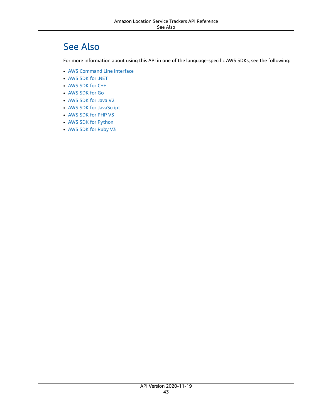# <span id="page-47-0"></span>See Also

- AWS [Command](https://docs.aws.amazon.com/goto/aws-cli/waypointtracking-2020-11-19/ListTrackers) Line Interface
- [AWS](https://docs.aws.amazon.com/goto/DotNetSDKV3/waypointtracking-2020-11-19/ListTrackers) SDK for .NET
- [AWS](https://docs.aws.amazon.com/goto/SdkForCpp/waypointtracking-2020-11-19/ListTrackers) SDK for C++
- [AWS](https://docs.aws.amazon.com/goto/SdkForGoV1/waypointtracking-2020-11-19/ListTrackers) SDK for Go
- [AWS](https://docs.aws.amazon.com/goto/SdkForJavaV2/waypointtracking-2020-11-19/ListTrackers) SDK for Java V2
- AWS SDK for [JavaScript](https://docs.aws.amazon.com/goto/AWSJavaScriptSDK/waypointtracking-2020-11-19/ListTrackers)
- [AWS](https://docs.aws.amazon.com/goto/SdkForPHPV3/waypointtracking-2020-11-19/ListTrackers) SDK for PHP V3
- AWS SDK for [Python](https://docs.aws.amazon.com/goto/boto3/waypointtracking-2020-11-19/ListTrackers)
- AWS SDK for [Ruby](https://docs.aws.amazon.com/goto/SdkForRubyV3/waypointtracking-2020-11-19/ListTrackers) V3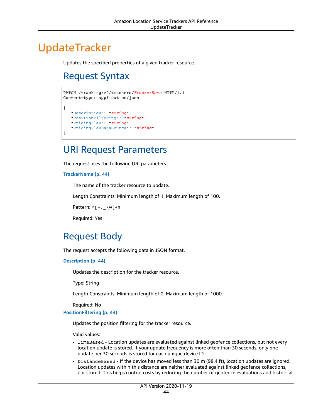# <span id="page-48-1"></span><span id="page-48-0"></span>**UpdateTracker**

Updates the specified properties of a given tracker resource.

# Request Syntax

```
PATCH /tracking/v0/trackers/TrackerName HTTP/1.1
Content-type: application/json
{
   "Description": "string",
   "PositionFiltering": "string",
    "PricingPlan": "string",
    "PricingPlanDataSource": "string"
}
```
### <span id="page-48-2"></span>URI Request Parameters

The request uses the following URI parameters.

#### **[TrackerName \(p. 44\)](#page-48-1)**

The name of the tracker resource to update.

Length Constraints: Minimum length of 1. Maximum length of 100.

```
Pattern: \wedge[-. \w]+$
```
Required: Yes

### <span id="page-48-3"></span>Request Body

The request accepts the following data in JSON format.

#### <span id="page-48-4"></span>**[Description \(p. 44\)](#page-48-1)**

Updates the description for the tracker resource.

Type: String

Length Constraints: Minimum length of 0. Maximum length of 1000.

Required: No

#### <span id="page-48-5"></span>**[PositionFiltering \(p. 44\)](#page-48-1)**

Updates the position filtering for the tracker resource.

Valid values:

- TimeBased Location updates are evaluated against linked geofence collections, but not every location update is stored. If your update frequency is more often than 30 seconds, only one update per 30 seconds is stored for each unique device ID.
- DistanceBased If the device has moved less than 30 m (98.4 ft), location updates are ignored. Location updates within this distance are neither evaluated against linked geofence collections, nor stored. This helps control costs by reducing the number of geofence evaluations and historical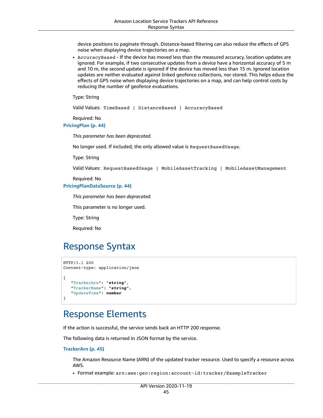device positions to paginate through. Distance-based filtering can also reduce the effects of GPS noise when displaying device trajectories on a map.

• AccuracyBased - If the device has moved less than the measured accuracy, location updates are ignored. For example, if two consecutive updates from a device have a horizontal accuracy of 5 m and 10 m, the second update is ignored if the device has moved less than 15 m. Ignored location updates are neither evaluated against linked geofence collections, nor stored. This helps educe the effects of GPS noise when displaying device trajectories on a map, and can help control costs by reducing the number of geofence evaluations.

Type: String

Valid Values: TimeBased | DistanceBased | AccuracyBased

Required: No

<span id="page-49-2"></span>**[PricingPlan \(p. 44\)](#page-48-1)**

*This parameter has been deprecated.*

No longer used. If included, the only allowed value is RequestBasedUsage.

Type: String

Valid Values: RequestBasedUsage | MobileAssetTracking | MobileAssetManagement

Required: No

#### <span id="page-49-3"></span>**[PricingPlanDataSource \(p. 44\)](#page-48-1)**

*This parameter has been deprecated.*

This parameter is no longer used.

Type: String

Required: No

### <span id="page-49-0"></span>Response Syntax

```
HTTP/1.1 200
Content-type: application/json
{
    "TrackerArn": "string",
    "TrackerName": "string",
    "UpdateTime": number
}
```
### <span id="page-49-1"></span>Response Elements

If the action is successful, the service sends back an HTTP 200 response.

The following data is returned in JSON format by the service.

#### <span id="page-49-4"></span>**[TrackerArn \(p. 45\)](#page-49-0)**

The Amazon Resource Name (ARN) of the updated tracker resource. Used to specify a resource across AWS.

• Format example: arn:aws:geo:region:account-id:tracker/ExampleTracker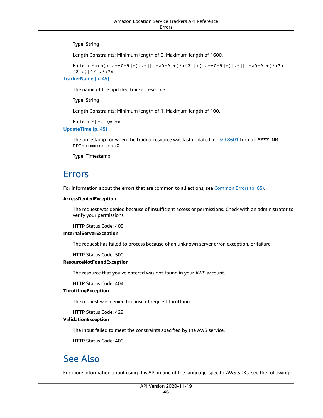Type: String

Length Constraints: Minimum length of 0. Maximum length of 1600.

```
Pattern: ^arn(:[a-z0-9]+([.-][a-z0-9]+)*){2}(:([a-z0-9]+([.-][a-z0-9]+)*)?)
   {2}:([^/].*)?$
TrackerName (p. 45)
```
The name of the updated tracker resource.

Type: String

Length Constraints: Minimum length of 1. Maximum length of 100.

```
Pattern: ^([-,-\wedge w]+\$
```
<span id="page-50-3"></span>**[UpdateTime \(p. 45\)](#page-49-0)**

The timestamp for when the tracker resource was last updated in ISO [8601](https://www.iso.org/iso-8601-date-and-time-format.html) format: YYYY-MM-DDThh:mm:ss.sssZ.

Type: Timestamp

### <span id="page-50-0"></span>Errors

For information about the errors that are common to all actions, see [Common](#page-69-0) Error[s \(p. 65\).](#page-69-0)

#### **AccessDeniedException**

The request was denied because of insufficient access or permissions. Check with an administrator to verify your permissions.

HTTP Status Code: 403

#### **InternalServerException**

The request has failed to process because of an unknown server error, exception, or failure.

HTTP Status Code: 500

#### **ResourceNotFoundException**

The resource that you've entered was not found in your AWS account.

HTTP Status Code: 404

#### **ThrottlingException**

The request was denied because of request throttling.

HTTP Status Code: 429

#### **ValidationException**

The input failed to meet the constraints specified by the AWS service.

HTTP Status Code: 400

### <span id="page-50-1"></span>See Also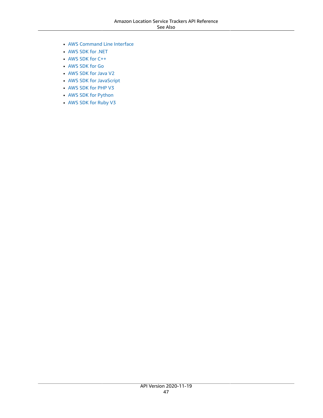- AWS [Command](https://docs.aws.amazon.com/goto/aws-cli/waypointtracking-2020-11-19/UpdateTracker) Line Interface
- [AWS](https://docs.aws.amazon.com/goto/DotNetSDKV3/waypointtracking-2020-11-19/UpdateTracker) SDK for .NET
- [AWS](https://docs.aws.amazon.com/goto/SdkForCpp/waypointtracking-2020-11-19/UpdateTracker) SDK for C++
- [AWS](https://docs.aws.amazon.com/goto/SdkForGoV1/waypointtracking-2020-11-19/UpdateTracker) SDK for Go
- [AWS](https://docs.aws.amazon.com/goto/SdkForJavaV2/waypointtracking-2020-11-19/UpdateTracker) SDK for Java V2
- AWS SDK for [JavaScript](https://docs.aws.amazon.com/goto/AWSJavaScriptSDK/waypointtracking-2020-11-19/UpdateTracker)
- [AWS](https://docs.aws.amazon.com/goto/SdkForPHPV3/waypointtracking-2020-11-19/UpdateTracker) SDK for PHP V3
- AWS SDK for [Python](https://docs.aws.amazon.com/goto/boto3/waypointtracking-2020-11-19/UpdateTracker)
- AWS SDK for [Ruby](https://docs.aws.amazon.com/goto/SdkForRubyV3/waypointtracking-2020-11-19/UpdateTracker) V3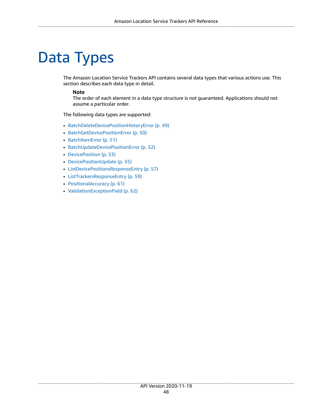# <span id="page-52-0"></span>Data Types

The Amazon Location Service Trackers API contains several data types that various actions use. This section describes each data type in detail.

#### **Note**

The order of each element in a data type structure is not guaranteed. Applications should not assume a particular order.

The following data types are supported:

- [BatchDeleteDevicePositionHistoryError \(p. 49\)](#page-53-0)
- [BatchGetDevicePositionError \(p. 50\)](#page-54-0)
- [BatchItemError \(p. 51\)](#page-55-0)
- [BatchUpdateDevicePositionError \(p. 52\)](#page-56-0)
- [DevicePosition \(p. 53\)](#page-57-0)
- [DevicePositionUpdate \(p. 55\)](#page-59-0)
- [ListDevicePositionsResponseEntry \(p. 57\)](#page-61-0)
- [ListTrackersResponseEntry \(p. 59\)](#page-63-0)
- [PositionalAccuracy \(p. 61\)](#page-65-0)
- [ValidationExceptionField \(p. 62\)](#page-66-0)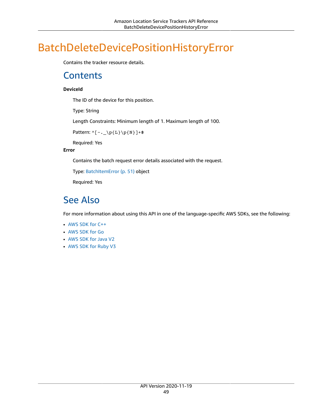# <span id="page-53-1"></span><span id="page-53-0"></span>BatchDeleteDevicePositionHistoryError

Contains the tracker resource details.

### **Contents**

#### <span id="page-53-3"></span>**DeviceId**

The ID of the device for this position.

Type: String

Length Constraints: Minimum length of 1. Maximum length of 100.

```
Pattern: ^(-,-\p4\text{L}\p6\
```
Required: Yes

#### <span id="page-53-4"></span>**Error**

Contains the batch request error details associated with the request.

Type: [BatchItemError \(p. 51\)](#page-55-0) object

Required: Yes

## <span id="page-53-2"></span>See Also

- [AWS](https://docs.aws.amazon.com/goto/SdkForCpp/waypointtracking-2020-11-19/BatchDeleteDevicePositionHistoryError) SDK for C++
- [AWS](https://docs.aws.amazon.com/goto/SdkForGoV1/waypointtracking-2020-11-19/BatchDeleteDevicePositionHistoryError) SDK for Go
- [AWS](https://docs.aws.amazon.com/goto/SdkForJavaV2/waypointtracking-2020-11-19/BatchDeleteDevicePositionHistoryError) SDK for Java V2
- AWS SDK for [Ruby](https://docs.aws.amazon.com/goto/SdkForRubyV3/waypointtracking-2020-11-19/BatchDeleteDevicePositionHistoryError) V3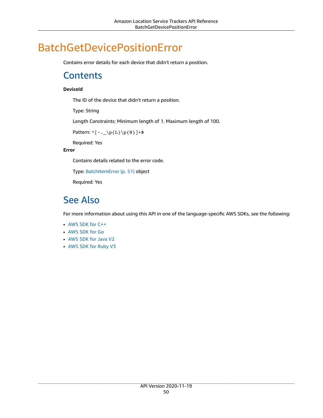# <span id="page-54-1"></span><span id="page-54-0"></span>BatchGetDevicePositionError

Contains error details for each device that didn't return a position.

### **Contents**

#### <span id="page-54-3"></span>**DeviceId**

The ID of the device that didn't return a position.

Type: String

Length Constraints: Minimum length of 1. Maximum length of 100.

```
Pattern: ^(-,-\p4\text{L}\p6\
```
Required: Yes

#### <span id="page-54-4"></span>**Error**

Contains details related to the error code.

Type: [BatchItemError \(p. 51\)](#page-55-0) object

Required: Yes

### <span id="page-54-2"></span>See Also

- [AWS](https://docs.aws.amazon.com/goto/SdkForCpp/waypointtracking-2020-11-19/BatchGetDevicePositionError) SDK for C++
- [AWS](https://docs.aws.amazon.com/goto/SdkForGoV1/waypointtracking-2020-11-19/BatchGetDevicePositionError) SDK for Go
- [AWS](https://docs.aws.amazon.com/goto/SdkForJavaV2/waypointtracking-2020-11-19/BatchGetDevicePositionError) SDK for Java V2
- AWS SDK for [Ruby](https://docs.aws.amazon.com/goto/SdkForRubyV3/waypointtracking-2020-11-19/BatchGetDevicePositionError) V3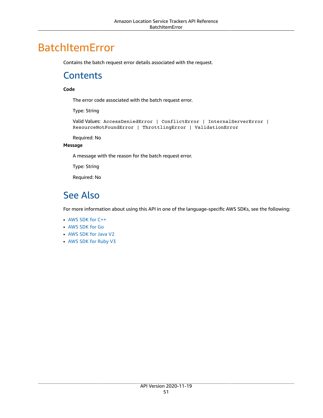# <span id="page-55-1"></span><span id="page-55-0"></span>BatchItemError

Contains the batch request error details associated with the request.

### **Contents**

#### <span id="page-55-3"></span>**Code**

The error code associated with the batch request error.

Type: String

```
Valid Values: AccessDeniedError | ConflictError | InternalServerError |
ResourceNotFoundError | ThrottlingError | ValidationError
```
Required: No

#### <span id="page-55-4"></span>**Message**

A message with the reason for the batch request error.

Type: String

Required: No

# <span id="page-55-2"></span>See Also

- [AWS](https://docs.aws.amazon.com/goto/SdkForCpp/waypointtracking-2020-11-19/BatchItemError) SDK for C++
- [AWS](https://docs.aws.amazon.com/goto/SdkForGoV1/waypointtracking-2020-11-19/BatchItemError) SDK for Go
- [AWS](https://docs.aws.amazon.com/goto/SdkForJavaV2/waypointtracking-2020-11-19/BatchItemError) SDK for Java V2
- AWS SDK for [Ruby](https://docs.aws.amazon.com/goto/SdkForRubyV3/waypointtracking-2020-11-19/BatchItemError) V3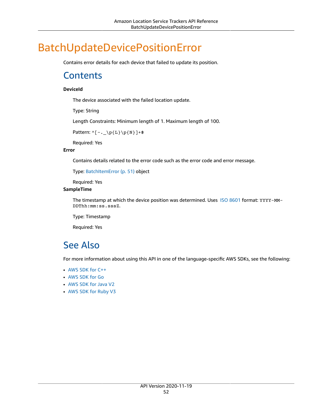# <span id="page-56-1"></span><span id="page-56-0"></span>BatchUpdateDevicePositionError

Contains error details for each device that failed to update its position.

### **Contents**

#### <span id="page-56-3"></span>**DeviceId**

The device associated with the failed location update.

Type: String

Length Constraints: Minimum length of 1. Maximum length of 100.

Pattern:  $^(-,-\p4\text{L}\p6\$ 

Required: Yes

#### <span id="page-56-4"></span>**Error**

Contains details related to the error code such as the error code and error message.

Type: [BatchItemError \(p. 51\)](#page-55-0) object

Required: Yes

#### <span id="page-56-5"></span>**SampleTime**

The timestamp at which the device position was determined. Uses ISO [8601](https://www.iso.org/iso-8601-date-and-time-format.html) format: YYYY-MM-DDThh:mm:ss.sssZ.

Type: Timestamp

Required: Yes

## <span id="page-56-2"></span>See Also

- [AWS](https://docs.aws.amazon.com/goto/SdkForCpp/waypointtracking-2020-11-19/BatchUpdateDevicePositionError) SDK for C++
- [AWS](https://docs.aws.amazon.com/goto/SdkForGoV1/waypointtracking-2020-11-19/BatchUpdateDevicePositionError) SDK for Go
- [AWS](https://docs.aws.amazon.com/goto/SdkForJavaV2/waypointtracking-2020-11-19/BatchUpdateDevicePositionError) SDK for Java V2
- AWS SDK for [Ruby](https://docs.aws.amazon.com/goto/SdkForRubyV3/waypointtracking-2020-11-19/BatchUpdateDevicePositionError) V3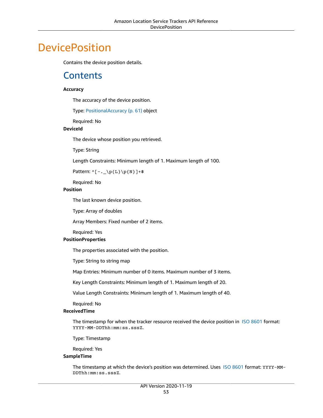# <span id="page-57-1"></span><span id="page-57-0"></span>**DevicePosition**

Contains the device position details.

### **Contents**

#### <span id="page-57-2"></span>**Accuracy**

The accuracy of the device position.

Type: [PositionalAccuracy \(p. 61\)](#page-65-0) object

Required: No

#### <span id="page-57-3"></span>**DeviceId**

The device whose position you retrieved.

Type: String

Length Constraints: Minimum length of 1. Maximum length of 100.

Pattern: ^[-.\_\p{L}\p{N}]+\$

Required: No

#### <span id="page-57-4"></span>**Position**

The last known device position.

Type: Array of doubles

Array Members: Fixed number of 2 items.

Required: Yes

#### <span id="page-57-5"></span>**PositionProperties**

The properties associated with the position.

Type: String to string map

Map Entries: Minimum number of 0 items. Maximum number of 3 items.

Key Length Constraints: Minimum length of 1. Maximum length of 20.

Value Length Constraints: Minimum length of 1. Maximum length of 40.

Required: No

#### <span id="page-57-6"></span>**ReceivedTime**

The timestamp for when the tracker resource received the device position in ISO [8601](https://www.iso.org/iso-8601-date-and-time-format.html) format: YYYY-MM-DDThh:mm:ss.sssZ.

Type: Timestamp

Required: Yes

#### <span id="page-57-7"></span>**SampleTime**

The timestamp at which the device's position was determined. Uses ISO [8601](https://www.iso.org/iso-8601-date-and-time-format.html) format: YYYY-MM-DDThh:mm:ss.sssZ.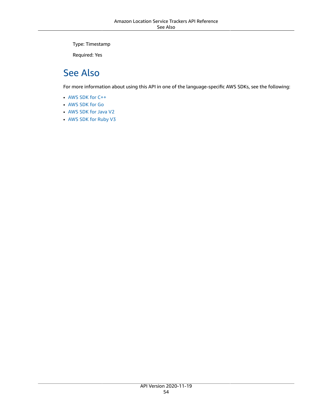Type: Timestamp

Required: Yes

### <span id="page-58-0"></span>See Also

- [AWS](https://docs.aws.amazon.com/goto/SdkForCpp/waypointtracking-2020-11-19/DevicePosition) SDK for C++
- [AWS](https://docs.aws.amazon.com/goto/SdkForGoV1/waypointtracking-2020-11-19/DevicePosition) SDK for Go
- [AWS](https://docs.aws.amazon.com/goto/SdkForJavaV2/waypointtracking-2020-11-19/DevicePosition) SDK for Java V2
- AWS SDK for [Ruby](https://docs.aws.amazon.com/goto/SdkForRubyV3/waypointtracking-2020-11-19/DevicePosition) V3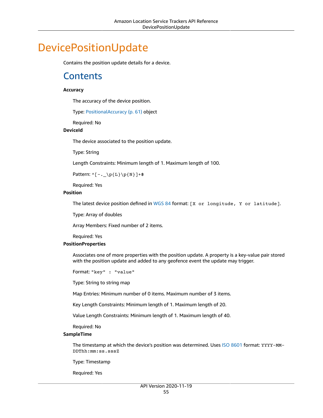# <span id="page-59-1"></span><span id="page-59-0"></span>DevicePositionUpdate

Contains the position update details for a device.

### **Contents**

#### <span id="page-59-2"></span>**Accuracy**

The accuracy of the device position.

Type: [PositionalAccuracy \(p. 61\)](#page-65-0) object

Required: No

#### <span id="page-59-3"></span>**DeviceId**

The device associated to the position update.

Type: String

Length Constraints: Minimum length of 1. Maximum length of 100.

Pattern:  $^(-,-\p4\text{L}\p6\$ 

Required: Yes

#### <span id="page-59-4"></span>**Position**

The latest device position defined in [WGS](https://earth-info.nga.mil/index.php?dir=wgs84&action=wgs84) 84 format:  $[x \text{ or } \text{longitude}, x \text{ or } \text{ latitude}].$ 

Type: Array of doubles

Array Members: Fixed number of 2 items.

Required: Yes

#### <span id="page-59-5"></span>**PositionProperties**

Associates one of more properties with the position update. A property is a key-value pair stored with the position update and added to any geofence event the update may trigger.

Format: "key" : "value"

Type: String to string map

Map Entries: Minimum number of 0 items. Maximum number of 3 items.

Key Length Constraints: Minimum length of 1. Maximum length of 20.

Value Length Constraints: Minimum length of 1. Maximum length of 40.

Required: No

#### <span id="page-59-6"></span>**SampleTime**

The timestamp at which the device's position was determined. Uses ISO [8601](https://www.iso.org/iso-8601-date-and-time-format.html) format: YYYY-MM-DDThh:mm:ss.sssZ

Type: Timestamp

Required: Yes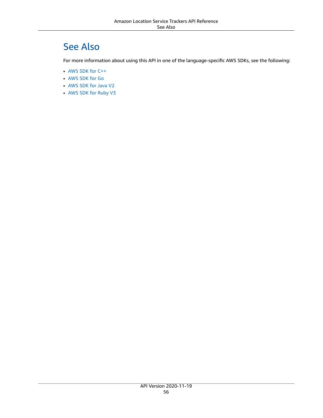## <span id="page-60-0"></span>See Also

- [AWS](https://docs.aws.amazon.com/goto/SdkForCpp/waypointtracking-2020-11-19/DevicePositionUpdate) SDK for C++
- [AWS](https://docs.aws.amazon.com/goto/SdkForGoV1/waypointtracking-2020-11-19/DevicePositionUpdate) SDK for Go
- [AWS](https://docs.aws.amazon.com/goto/SdkForJavaV2/waypointtracking-2020-11-19/DevicePositionUpdate) SDK for Java V2
- AWS SDK for [Ruby](https://docs.aws.amazon.com/goto/SdkForRubyV3/waypointtracking-2020-11-19/DevicePositionUpdate) V3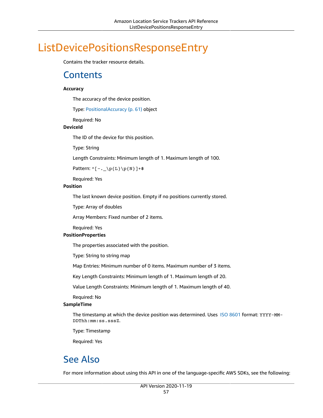# <span id="page-61-1"></span><span id="page-61-0"></span>ListDevicePositionsResponseEntry

Contains the tracker resource details.

### **Contents**

#### <span id="page-61-3"></span>**Accuracy**

The accuracy of the device position.

Type: [PositionalAccuracy \(p. 61\)](#page-65-0) object

Required: No

#### <span id="page-61-4"></span>**DeviceId**

The ID of the device for this position.

Type: String

Length Constraints: Minimum length of 1. Maximum length of 100.

Pattern:  $^(-,-\p{L}\p{L}\p{N}]$ +\$

Required: Yes

#### <span id="page-61-5"></span>**Position**

The last known device position. Empty if no positions currently stored.

Type: Array of doubles

Array Members: Fixed number of 2 items.

Required: Yes

#### <span id="page-61-6"></span>**PositionProperties**

The properties associated with the position.

Type: String to string map

Map Entries: Minimum number of 0 items. Maximum number of 3 items.

Key Length Constraints: Minimum length of 1. Maximum length of 20.

Value Length Constraints: Minimum length of 1. Maximum length of 40.

Required: No

#### <span id="page-61-7"></span>**SampleTime**

The timestamp at which the device position was determined. Uses ISO [8601](https://www.iso.org/iso-8601-date-and-time-format.html) format: YYYY-MM-DDThh:mm:ss.sssZ.

Type: Timestamp

Required: Yes

### <span id="page-61-2"></span>See Also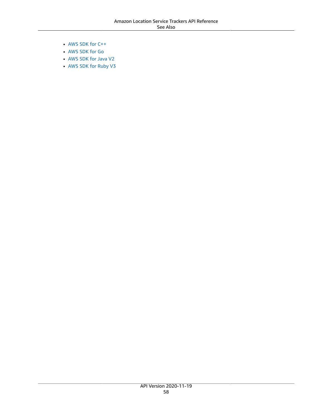- [AWS](https://docs.aws.amazon.com/goto/SdkForCpp/waypointtracking-2020-11-19/ListDevicePositionsResponseEntry) SDK for C++
- [AWS](https://docs.aws.amazon.com/goto/SdkForGoV1/waypointtracking-2020-11-19/ListDevicePositionsResponseEntry) SDK for Go
- [AWS](https://docs.aws.amazon.com/goto/SdkForJavaV2/waypointtracking-2020-11-19/ListDevicePositionsResponseEntry) SDK for Java V2
- AWS SDK for [Ruby](https://docs.aws.amazon.com/goto/SdkForRubyV3/waypointtracking-2020-11-19/ListDevicePositionsResponseEntry) V3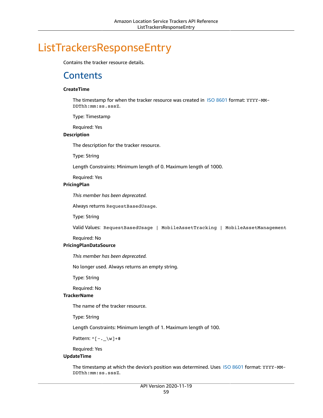# <span id="page-63-1"></span><span id="page-63-0"></span>ListTrackersResponseEntry

Contains the tracker resource details.

### **Contents**

#### <span id="page-63-2"></span>**CreateTime**

The timestamp for when the tracker resource was created in ISO [8601](https://www.iso.org/iso-8601-date-and-time-format.html) format: YYYY-MM-DDThh:mm:ss.sssZ.

Type: Timestamp

Required: Yes

#### <span id="page-63-3"></span>**Description**

The description for the tracker resource.

Type: String

Length Constraints: Minimum length of 0. Maximum length of 1000.

Required: Yes

#### <span id="page-63-4"></span>**PricingPlan**

*This member has been deprecated.*

Always returns RequestBasedUsage.

Type: String

Valid Values: RequestBasedUsage | MobileAssetTracking | MobileAssetManagement

#### Required: No

#### <span id="page-63-5"></span>**PricingPlanDataSource**

*This member has been deprecated.*

No longer used. Always returns an empty string.

Type: String

Required: No

#### <span id="page-63-6"></span>**TrackerName**

The name of the tracker resource.

Type: String

Length Constraints: Minimum length of 1. Maximum length of 100.

Pattern:  $^(-,-\wedge w]+$ \$

Required: Yes

#### <span id="page-63-7"></span>**UpdateTime**

The timestamp at which the device's position was determined. Uses ISO [8601](https://www.iso.org/iso-8601-date-and-time-format.html) format: YYYY-MM-DDThh:mm:ss.sssZ.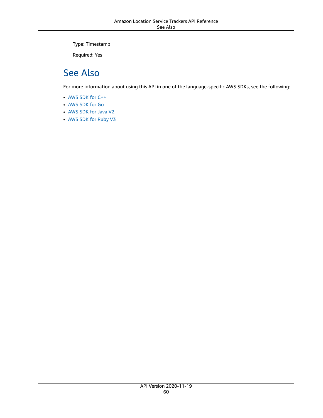Type: Timestamp

Required: Yes

### <span id="page-64-0"></span>See Also

- [AWS](https://docs.aws.amazon.com/goto/SdkForCpp/waypointtracking-2020-11-19/ListTrackersResponseEntry) SDK for C++
- [AWS](https://docs.aws.amazon.com/goto/SdkForGoV1/waypointtracking-2020-11-19/ListTrackersResponseEntry) SDK for Go
- [AWS](https://docs.aws.amazon.com/goto/SdkForJavaV2/waypointtracking-2020-11-19/ListTrackersResponseEntry) SDK for Java V2
- AWS SDK for [Ruby](https://docs.aws.amazon.com/goto/SdkForRubyV3/waypointtracking-2020-11-19/ListTrackersResponseEntry) V3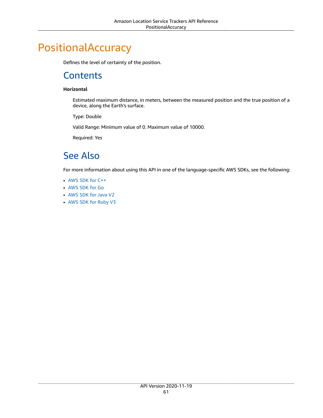# <span id="page-65-1"></span><span id="page-65-0"></span>PositionalAccuracy

Defines the level of certainty of the position.

### **Contents**

#### <span id="page-65-3"></span>**Horizontal**

Estimated maximum distance, in meters, between the measured position and the true position of a device, along the Earth's surface.

Type: Double

Valid Range: Minimum value of 0. Maximum value of 10000.

Required: Yes

### <span id="page-65-2"></span>See Also

- [AWS](https://docs.aws.amazon.com/goto/SdkForCpp/waypointtracking-2020-11-19/PositionalAccuracy) SDK for C++
- [AWS](https://docs.aws.amazon.com/goto/SdkForGoV1/waypointtracking-2020-11-19/PositionalAccuracy) SDK for Go
- [AWS](https://docs.aws.amazon.com/goto/SdkForJavaV2/waypointtracking-2020-11-19/PositionalAccuracy) SDK for Java V2
- AWS SDK for [Ruby](https://docs.aws.amazon.com/goto/SdkForRubyV3/waypointtracking-2020-11-19/PositionalAccuracy) V3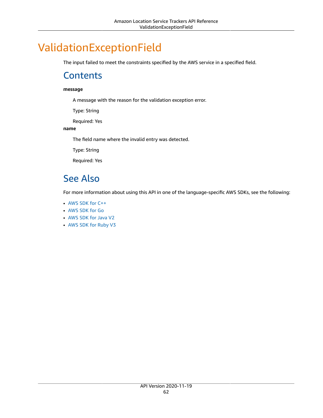# <span id="page-66-1"></span><span id="page-66-0"></span>ValidationExceptionField

The input failed to meet the constraints specified by the AWS service in a specified field.

### **Contents**

#### **message**

A message with the reason for the validation exception error.

Type: String

Required: Yes

#### **name**

The field name where the invalid entry was detected.

Type: String

Required: Yes

### <span id="page-66-2"></span>See Also

- [AWS](https://docs.aws.amazon.com/goto/SdkForCpp/waypointtracking-2020-11-19/ValidationExceptionField) SDK for C++
- [AWS](https://docs.aws.amazon.com/goto/SdkForGoV1/waypointtracking-2020-11-19/ValidationExceptionField) SDK for Go
- [AWS](https://docs.aws.amazon.com/goto/SdkForJavaV2/waypointtracking-2020-11-19/ValidationExceptionField) SDK for Java V2
- AWS SDK for [Ruby](https://docs.aws.amazon.com/goto/SdkForRubyV3/waypointtracking-2020-11-19/ValidationExceptionField) V3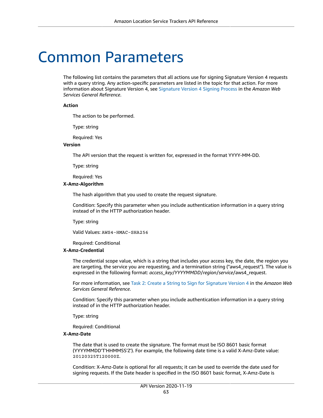# <span id="page-67-0"></span>Common Parameters

The following list contains the parameters that all actions use for signing Signature Version 4 requests with a query string. Any action-specific parameters are listed in the topic for that action. For more information about Signature Version 4, see [Signature](http://docs.aws.amazon.com/general/latest/gr/signature-version-4.html) Version 4 Signing Process in the *Amazon Web Services General Reference*.

#### **Action**

The action to be performed.

Type: string

Required: Yes

#### **Version**

The API version that the request is written for, expressed in the format YYYY-MM-DD.

Type: string

Required: Yes

#### **X-Amz-Algorithm**

The hash algorithm that you used to create the request signature.

Condition: Specify this parameter when you include authentication information in a query string instead of in the HTTP authorization header.

Type: string

Valid Values: AWS4-HMAC-SHA256

Required: Conditional

#### **X-Amz-Credential**

The credential scope value, which is a string that includes your access key, the date, the region you are targeting, the service you are requesting, and a termination string ("aws4\_request"). The value is expressed in the following format: *access\_key*/*YYYYMMDD*/*region*/*service*/aws4\_request.

For more information, see Task 2: Create a String to Sign for [Signature](http://docs.aws.amazon.com/general/latest/gr/sigv4-create-string-to-sign.html) Version 4 in the *Amazon Web Services General Reference*.

Condition: Specify this parameter when you include authentication information in a query string instead of in the HTTP authorization header.

Type: string

Required: Conditional

#### **X-Amz-Date**

The date that is used to create the signature. The format must be ISO 8601 basic format (YYYYMMDD'T'HHMMSS'Z'). For example, the following date time is a valid X-Amz-Date value: 20120325T120000Z.

Condition: X-Amz-Date is optional for all requests; it can be used to override the date used for signing requests. If the Date header is specified in the ISO 8601 basic format, X-Amz-Date is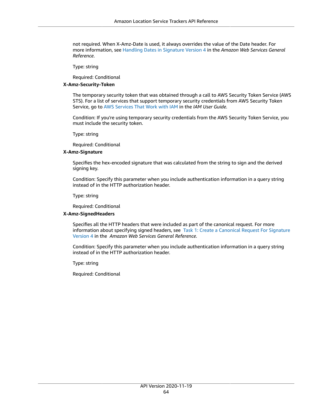not required. When X-Amz-Date is used, it always overrides the value of the Date header. For more information, see Handling Dates in [Signature](http://docs.aws.amazon.com/general/latest/gr/sigv4-date-handling.html) Version 4 in the *Amazon Web Services General Reference*.

Type: string

Required: Conditional

#### **X-Amz-Security-Token**

The temporary security token that was obtained through a call to AWS Security Token Service (AWS STS). For a list of services that support temporary security credentials from AWS Security Token Service, go to AWS [Services](http://docs.aws.amazon.com/IAM/latest/UserGuide/reference_aws-services-that-work-with-iam.html) That Work with IAM in the *IAM User Guide*.

Condition: If you're using temporary security credentials from the AWS Security Token Service, you must include the security token.

Type: string

Required: Conditional

#### **X-Amz-Signature**

Specifies the hex-encoded signature that was calculated from the string to sign and the derived signing key.

Condition: Specify this parameter when you include authentication information in a query string instead of in the HTTP authorization header.

Type: string

Required: Conditional

#### **X-Amz-SignedHeaders**

Specifies all the HTTP headers that were included as part of the canonical request. For more information about specifying signed headers, see Task 1: Create a [Canonical](http://docs.aws.amazon.com/general/latest/gr/sigv4-create-canonical-request.html) Request For Signature [Version](http://docs.aws.amazon.com/general/latest/gr/sigv4-create-canonical-request.html) 4 in the *Amazon Web Services General Reference*.

Condition: Specify this parameter when you include authentication information in a query string instead of in the HTTP authorization header.

Type: string

Required: Conditional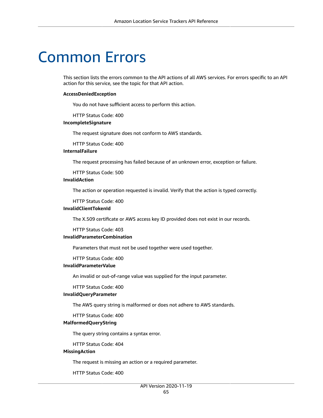# <span id="page-69-0"></span>Common Errors

This section lists the errors common to the API actions of all AWS services. For errors specific to an API action for this service, see the topic for that API action.

#### **AccessDeniedException**

You do not have sufficient access to perform this action.

HTTP Status Code: 400

#### **IncompleteSignature**

The request signature does not conform to AWS standards.

HTTP Status Code: 400

#### **InternalFailure**

The request processing has failed because of an unknown error, exception or failure.

HTTP Status Code: 500

#### **InvalidAction**

The action or operation requested is invalid. Verify that the action is typed correctly.

HTTP Status Code: 400

#### **InvalidClientTokenId**

The X.509 certificate or AWS access key ID provided does not exist in our records.

HTTP Status Code: 403

#### **InvalidParameterCombination**

Parameters that must not be used together were used together.

HTTP Status Code: 400

#### **InvalidParameterValue**

An invalid or out-of-range value was supplied for the input parameter.

#### HTTP Status Code: 400

#### **InvalidQueryParameter**

The AWS query string is malformed or does not adhere to AWS standards.

HTTP Status Code: 400

#### **MalformedQueryString**

The query string contains a syntax error.

HTTP Status Code: 404

#### **MissingAction**

The request is missing an action or a required parameter.

HTTP Status Code: 400